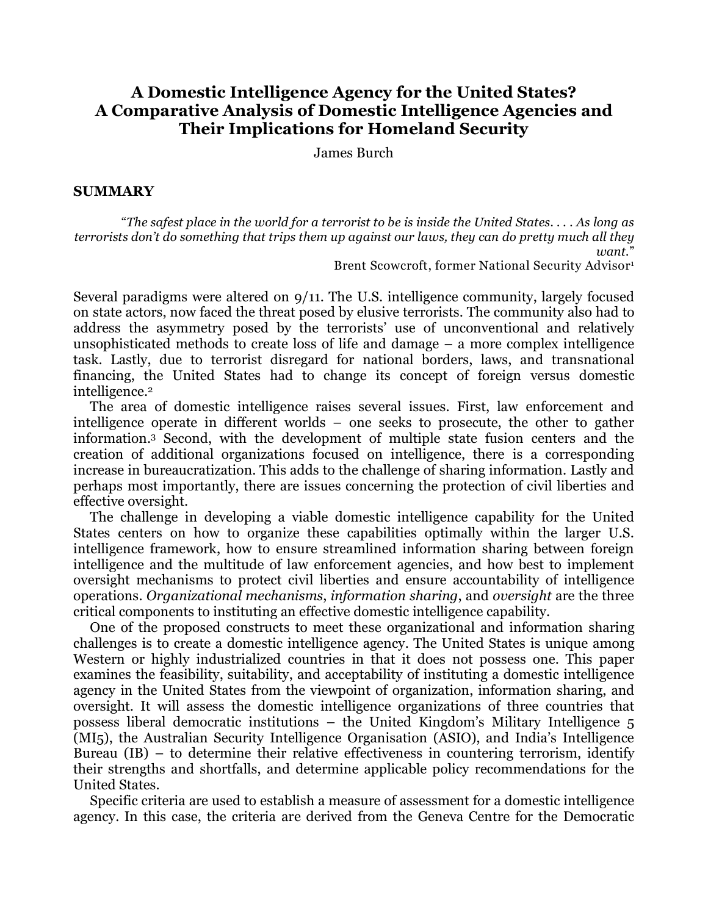# **A Domestic Intelligence Agency for the United States? A Comparative Analysis of Domestic Intelligence Agencies and Their Implications for Homeland Security**

James Burch

### **SUMMARY**

"The safest place in the world for a terrorist to be is inside the United States.... As long as *terrorists don't do something that trips them up against our laws, they can do pretty much all they want.*"

Brent Scowcroft, former National Security Advisor<sup>1</sup>

Several paradigms were altered on 9/11. The U.S. intelligence community, largely focused on state actors, now faced the threat posed by elusive terrorists. The community also had to address the asymmetry posed by the terrorists' use of unconventional and relatively unsophisticated methods to create loss of life and damage – a more complex intelligence task. Lastly, due to terrorist disregard for national borders, laws, and transnational financing, the United States had to change its concept of foreign versus domestic intelligence.2

The area of domestic intelligence raises several issues. First, law enforcement and intelligence operate in different worlds – one seeks to prosecute, the other to gather information. <sup>3</sup> Second, with the development of multiple state fusion centers and the creation of additional organizations focused on intelligence, there is a corresponding increase in bureaucratization. This adds to the challenge of sharing information. Lastly and perhaps most importantly, there are issues concerning the protection of civil liberties and effective oversight.

The challenge in developing a viable domestic intelligence capability for the United States centers on how to organize these capabilities optimally within the larger U.S. intelligence framework, how to ensure streamlined information sharing between foreign intelligence and the multitude of law enforcement agencies, and how best to implement oversight mechanisms to protect civil liberties and ensure accountability of intelligence operations. *Organizational mechanisms*, *information sharing*, and *oversight* are the three critical components to instituting an effective domestic intelligence capability.

One of the proposed constructs to meet these organizational and information sharing challenges is to create a domestic intelligence agency. The United States is unique among Western or highly industrialized countries in that it does not possess one. This paper examines the feasibility, suitability, and acceptability of instituting a domestic intelligence agency in the United States from the viewpoint of organization, information sharing, and oversight. It will assess the domestic intelligence organizations of three countries that possess liberal democratic institutions – the United Kingdom's Military Intelligence 5 (MI5), the Australian Security Intelligence Organisation (ASIO), and India's Intelligence Bureau  $(IB)$  – to determine their relative effectiveness in countering terrorism, identify their strengths and shortfalls, and determine applicable policy recommendations for the United States.

Specific criteria are used to establish a measure of assessment for a domestic intelligence agency. In this case, the criteria are derived from the Geneva Centre for the Democratic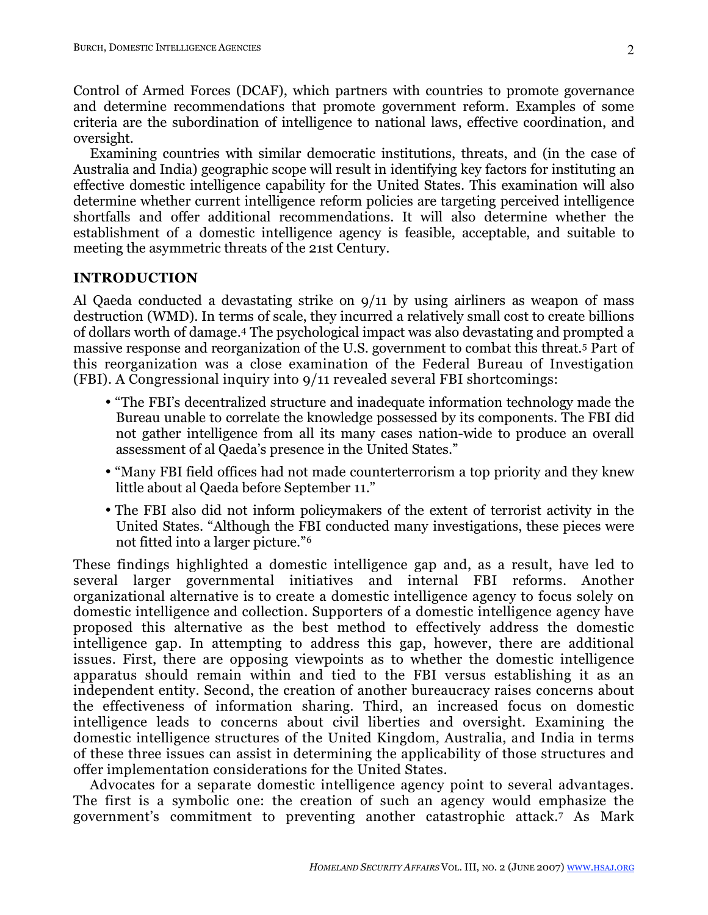Control of Armed Forces (DCAF), which partners with countries to promote governance and determine recommendations that promote government reform. Examples of some criteria are the subordination of intelligence to national laws, effective coordination, and oversight.

Examining countries with similar democratic institutions, threats, and (in the case of Australia and India) geographic scope will result in identifying key factors for instituting an effective domestic intelligence capability for the United States. This examination will also determine whether current intelligence reform policies are targeting perceived intelligence shortfalls and offer additional recommendations. It will also determine whether the establishment of a domestic intelligence agency is feasible, acceptable, and suitable to meeting the asymmetric threats of the 21st Century.

### **INTRODUCTION**

Al Qaeda conducted a devastating strike on 9/11 by using airliners as weapon of mass destruction (WMD). In terms of scale, they incurred a relatively small cost to create billions of dollars worth of damage.4 The psychological impact was also devastating and prompted a massive response and reorganization of the U.S. government to combat this threat.5 Part of this reorganization was a close examination of the Federal Bureau of Investigation (FBI). A Congressional inquiry into 9/11 revealed several FBI shortcomings:

- "The FBI's decentralized structure and inadequate information technology made the Bureau unable to correlate the knowledge possessed by its components. The FBI did not gather intelligence from all its many cases nation-wide to produce an overall assessment of al Qaeda's presence in the United States."
- "Many FBI field offices had not made counterterrorism a top priority and they knew little about al Qaeda before September 11."
- The FBI also did not inform policymakers of the extent of terrorist activity in the United States. "Although the FBI conducted many investigations, these pieces were not fitted into a larger picture."6

These findings highlighted a domestic intelligence gap and, as a result, have led to several larger governmental initiatives and internal FBI reforms. Another organizational alternative is to create a domestic intelligence agency to focus solely on domestic intelligence and collection. Supporters of a domestic intelligence agency have proposed this alternative as the best method to effectively address the domestic intelligence gap. In attempting to address this gap, however, there are additional issues. First, there are opposing viewpoints as to whether the domestic intelligence apparatus should remain within and tied to the FBI versus establishing it as an independent entity. Second, the creation of another bureaucracy raises concerns about the effectiveness of information sharing. Third, an increased focus on domestic intelligence leads to concerns about civil liberties and oversight. Examining the domestic intelligence structures of the United Kingdom, Australia, and India in terms of these three issues can assist in determining the applicability of those structures and offer implementation considerations for the United States.

Advocates for a separate domestic intelligence agency point to several advantages. The first is a symbolic one: the creation of such an agency would emphasize the government's commitment to preventing another catastrophic attack.7 As Mark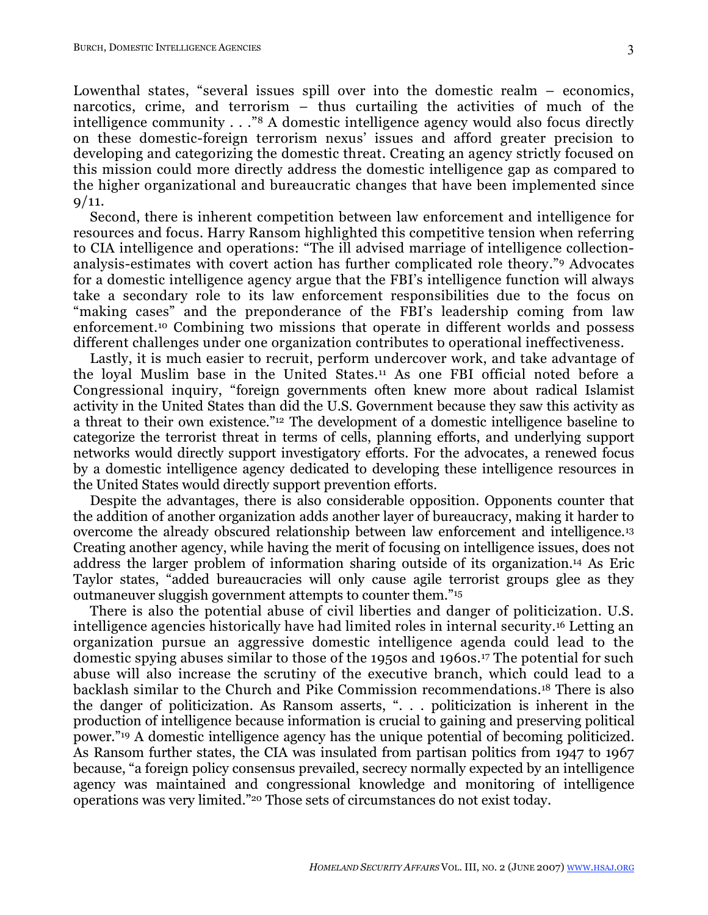Lowenthal states, "several issues spill over into the domestic realm – economics, narcotics, crime, and terrorism – thus curtailing the activities of much of the intelligence community . . ."8 A domestic intelligence agency would also focus directly on these domestic-foreign terrorism nexus' issues and afford greater precision to developing and categorizing the domestic threat. Creating an agency strictly focused on this mission could more directly address the domestic intelligence gap as compared to the higher organizational and bureaucratic changes that have been implemented since  $9/11.$ 

Second, there is inherent competition between law enforcement and intelligence for resources and focus. Harry Ransom highlighted this competitive tension when referring to CIA intelligence and operations: "The ill advised marriage of intelligence collectionanalysis-estimates with covert action has further complicated role theory."9 Advocates for a domestic intelligence agency argue that the FBI's intelligence function will always take a secondary role to its law enforcement responsibilities due to the focus on "making cases" and the preponderance of the FBI's leadership coming from law enforcement.10 Combining two missions that operate in different worlds and possess different challenges under one organization contributes to operational ineffectiveness.

Lastly, it is much easier to recruit, perform undercover work, and take advantage of the loyal Muslim base in the United States.11 As one FBI official noted before a Congressional inquiry, "foreign governments often knew more about radical Islamist activity in the United States than did the U.S. Government because they saw this activity as a threat to their own existence."12 The development of a domestic intelligence baseline to categorize the terrorist threat in terms of cells, planning efforts, and underlying support networks would directly support investigatory efforts. For the advocates, a renewed focus by a domestic intelligence agency dedicated to developing these intelligence resources in the United States would directly support prevention efforts.

Despite the advantages, there is also considerable opposition. Opponents counter that the addition of another organization adds another layer of bureaucracy, making it harder to overcome the already obscured relationship between law enforcement and intelligence.13 Creating another agency, while having the merit of focusing on intelligence issues, does not address the larger problem of information sharing outside of its organization.14 As Eric Taylor states, "added bureaucracies will only cause agile terrorist groups glee as they outmaneuver sluggish government attempts to counter them."15

There is also the potential abuse of civil liberties and danger of politicization. U.S. intelligence agencies historically have had limited roles in internal security.16 Letting an organization pursue an aggressive domestic intelligence agenda could lead to the domestic spying abuses similar to those of the 1950s and 1960s.17 The potential for such abuse will also increase the scrutiny of the executive branch, which could lead to a backlash similar to the Church and Pike Commission recommendations.18 There is also the danger of politicization. As Ransom asserts, ". . . politicization is inherent in the production of intelligence because information is crucial to gaining and preserving political power."19 A domestic intelligence agency has the unique potential of becoming politicized. As Ransom further states, the CIA was insulated from partisan politics from 1947 to 1967 because, "a foreign policy consensus prevailed, secrecy normally expected by an intelligence agency was maintained and congressional knowledge and monitoring of intelligence operations was very limited."20 Those sets of circumstances do not exist today.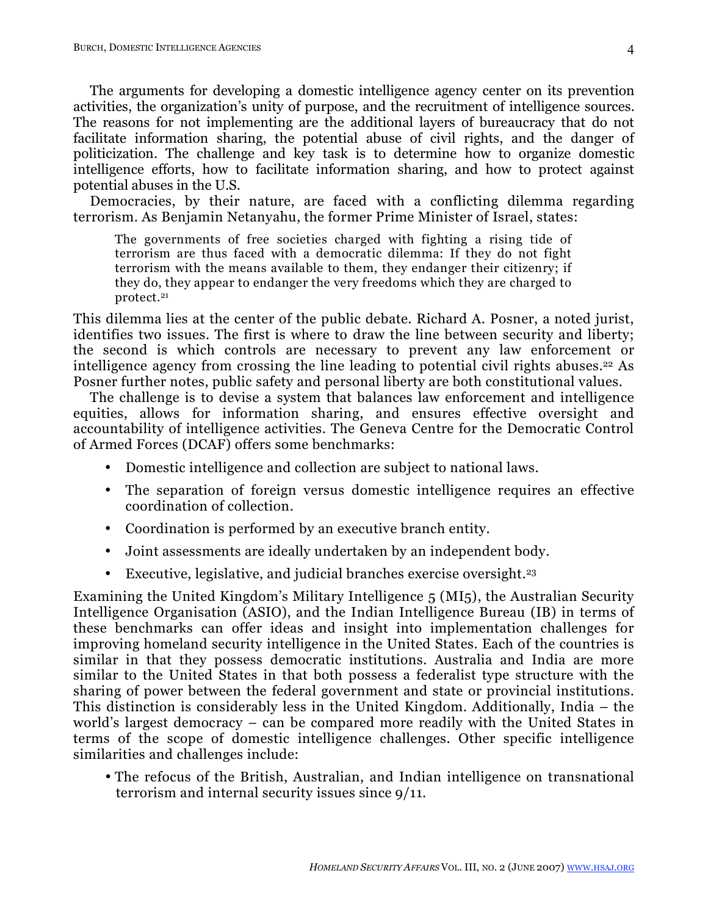The arguments for developing a domestic intelligence agency center on its prevention activities, the organization's unity of purpose, and the recruitment of intelligence sources. The reasons for not implementing are the additional layers of bureaucracy that do not facilitate information sharing, the potential abuse of civil rights, and the danger of politicization. The challenge and key task is to determine how to organize domestic intelligence efforts, how to facilitate information sharing, and how to protect against potential abuses in the U.S.

Democracies, by their nature, are faced with a conflicting dilemma regarding terrorism. As Benjamin Netanyahu, the former Prime Minister of Israel, states:

The governments of free societies charged with fighting a rising tide of terrorism are thus faced with a democratic dilemma: If they do not fight terrorism with the means available to them, they endanger their citizenry; if they do, they appear to endanger the very freedoms which they are charged to protect.<sup>21</sup>

This dilemma lies at the center of the public debate. Richard A. Posner, a noted jurist, identifies two issues. The first is where to draw the line between security and liberty; the second is which controls are necessary to prevent any law enforcement or intelligence agency from crossing the line leading to potential civil rights abuses.<sup>22</sup> As Posner further notes, public safety and personal liberty are both constitutional values.

The challenge is to devise a system that balances law enforcement and intelligence equities, allows for information sharing, and ensures effective oversight and accountability of intelligence activities. The Geneva Centre for the Democratic Control of Armed Forces (DCAF) offers some benchmarks:

- Domestic intelligence and collection are subject to national laws.
- The separation of foreign versus domestic intelligence requires an effective coordination of collection.
- Coordination is performed by an executive branch entity.
- Joint assessments are ideally undertaken by an independent body.
- Executive, legislative, and judicial branches exercise oversight.<sup>23</sup>

Examining the United Kingdom's Military Intelligence 5 (MI5), the Australian Security Intelligence Organisation (ASIO), and the Indian Intelligence Bureau (IB) in terms of these benchmarks can offer ideas and insight into implementation challenges for improving homeland security intelligence in the United States. Each of the countries is similar in that they possess democratic institutions. Australia and India are more similar to the United States in that both possess a federalist type structure with the sharing of power between the federal government and state or provincial institutions. This distinction is considerably less in the United Kingdom. Additionally, India – the world's largest democracy – can be compared more readily with the United States in terms of the scope of domestic intelligence challenges. Other specific intelligence similarities and challenges include:

• The refocus of the British, Australian, and Indian intelligence on transnational terrorism and internal security issues since 9/11.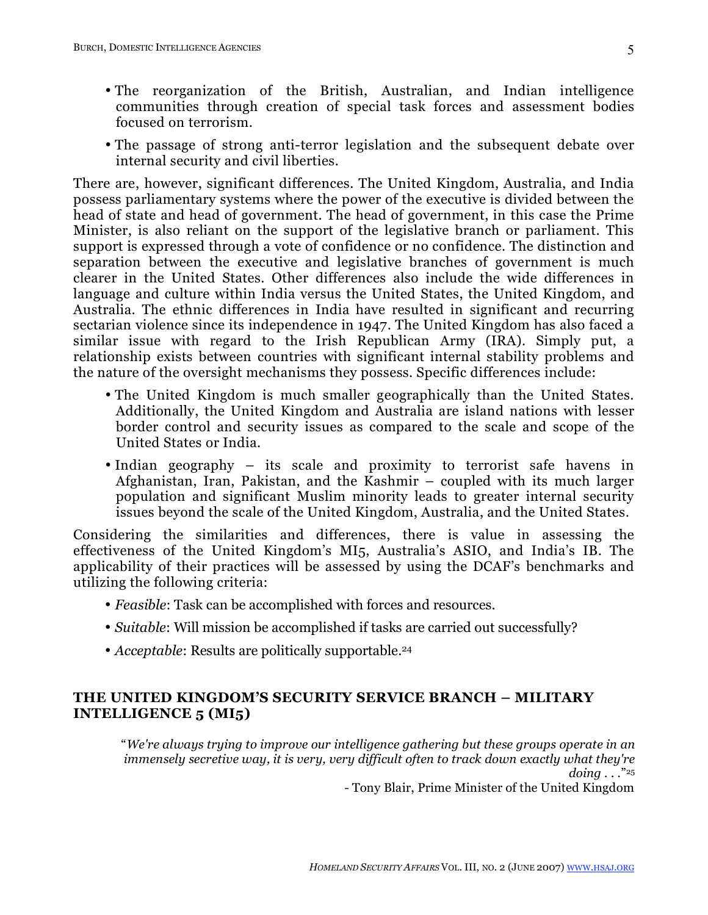- The reorganization of the British, Australian, and Indian intelligence communities through creation of special task forces and assessment bodies focused on terrorism.
- The passage of strong anti-terror legislation and the subsequent debate over internal security and civil liberties.

There are, however, significant differences. The United Kingdom, Australia, and India possess parliamentary systems where the power of the executive is divided between the head of state and head of government. The head of government, in this case the Prime Minister, is also reliant on the support of the legislative branch or parliament. This support is expressed through a vote of confidence or no confidence. The distinction and separation between the executive and legislative branches of government is much clearer in the United States. Other differences also include the wide differences in language and culture within India versus the United States, the United Kingdom, and Australia. The ethnic differences in India have resulted in significant and recurring sectarian violence since its independence in 1947. The United Kingdom has also faced a similar issue with regard to the Irish Republican Army (IRA). Simply put, a relationship exists between countries with significant internal stability problems and the nature of the oversight mechanisms they possess. Specific differences include:

- The United Kingdom is much smaller geographically than the United States. Additionally, the United Kingdom and Australia are island nations with lesser border control and security issues as compared to the scale and scope of the United States or India.
- Indian geography its scale and proximity to terrorist safe havens in Afghanistan, Iran, Pakistan, and the Kashmir – coupled with its much larger population and significant Muslim minority leads to greater internal security issues beyond the scale of the United Kingdom, Australia, and the United States.

Considering the similarities and differences, there is value in assessing the effectiveness of the United Kingdom's MI5, Australia's ASIO, and India's IB. The applicability of their practices will be assessed by using the DCAF's benchmarks and utilizing the following criteria:

- *Feasible*: Task can be accomplished with forces and resources.
- *Suitable*: Will mission be accomplished if tasks are carried out successfully?
- *Acceptable*: Results are politically supportable. 24

## **THE UNITED KINGDOM'S SECURITY SERVICE BRANCH – MILITARY INTELLIGENCE 5 (MI5)**

"*We're always trying to improve our intelligence gathering but these groups operate in an immensely secretive way, it is very, very difficult often to track down exactly what they're doing . . .*"25

- Tony Blair, Prime Minister of the United Kingdom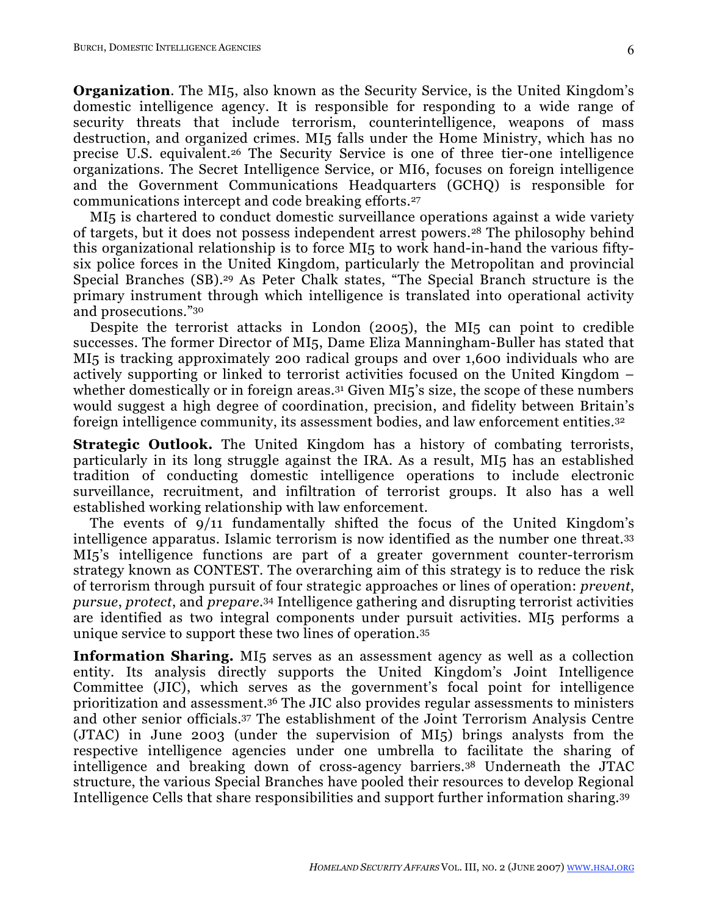**Organization.** The MI5, also known as the Security Service, is the United Kingdom's domestic intelligence agency. It is responsible for responding to a wide range of security threats that include terrorism, counterintelligence, weapons of mass destruction, and organized crimes. MI5 falls under the Home Ministry, which has no precise U.S. equivalent.26 The Security Service is one of three tier-one intelligence organizations. The Secret Intelligence Service, or MI6, focuses on foreign intelligence and the Government Communications Headquarters (GCHQ) is responsible for communications intercept and code breaking efforts.27

MI5 is chartered to conduct domestic surveillance operations against a wide variety of targets, but it does not possess independent arrest powers.28 The philosophy behind this organizational relationship is to force MI5 to work hand-in-hand the various fiftysix police forces in the United Kingdom, particularly the Metropolitan and provincial Special Branches (SB).29 As Peter Chalk states, "The Special Branch structure is the primary instrument through which intelligence is translated into operational activity and prosecutions."30

Despite the terrorist attacks in London (2005), the MI5 can point to credible successes. The former Director of MI5, Dame Eliza Manningham-Buller has stated that MI5 is tracking approximately 200 radical groups and over 1,600 individuals who are actively supporting or linked to terrorist activities focused on the United Kingdom – whether domestically or in foreign areas.<sup>31</sup> Given MI<sub>5</sub>'s size, the scope of these numbers would suggest a high degree of coordination, precision, and fidelity between Britain's foreign intelligence community, its assessment bodies, and law enforcement entities.32

**Strategic Outlook.** The United Kingdom has a history of combating terrorists, particularly in its long struggle against the IRA. As a result, MI5 has an established tradition of conducting domestic intelligence operations to include electronic surveillance, recruitment, and infiltration of terrorist groups. It also has a well established working relationship with law enforcement.

The events of 9/11 fundamentally shifted the focus of the United Kingdom's intelligence apparatus. Islamic terrorism is now identified as the number one threat.33 MI5's intelligence functions are part of a greater government counter-terrorism strategy known as CONTEST. The overarching aim of this strategy is to reduce the risk of terrorism through pursuit of four strategic approaches or lines of operation: *prevent*, *pursue*, *protect*, and *prepare*.34 Intelligence gathering and disrupting terrorist activities are identified as two integral components under pursuit activities. MI5 performs a unique service to support these two lines of operation.35

**Information Sharing.** MI<sub>5</sub> serves as an assessment agency as well as a collection entity. Its analysis directly supports the United Kingdom's Joint Intelligence Committee (JIC), which serves as the government's focal point for intelligence prioritization and assessment.36 The JIC also provides regular assessments to ministers and other senior officials.37 The establishment of the Joint Terrorism Analysis Centre (JTAC) in June 2003 (under the supervision of MI5) brings analysts from the respective intelligence agencies under one umbrella to facilitate the sharing of intelligence and breaking down of cross-agency barriers.38 Underneath the JTAC structure, the various Special Branches have pooled their resources to develop Regional Intelligence Cells that share responsibilities and support further information sharing.39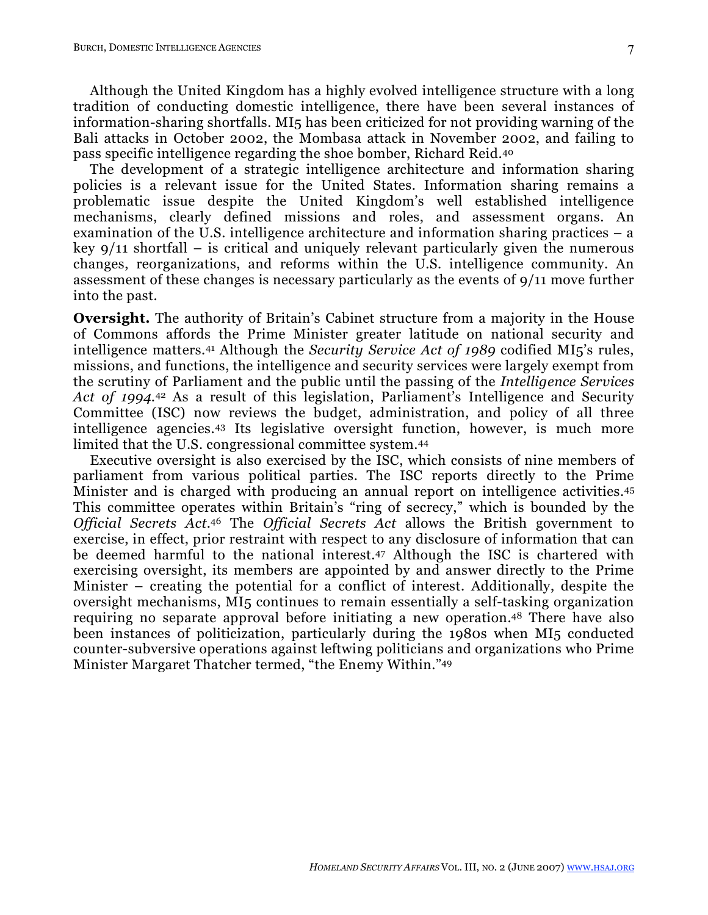Although the United Kingdom has a highly evolved intelligence structure with a long tradition of conducting domestic intelligence, there have been several instances of information-sharing shortfalls. MI5 has been criticized for not providing warning of the Bali attacks in October 2002, the Mombasa attack in November 2002, and failing to pass specific intelligence regarding the shoe bomber, Richard Reid.40

The development of a strategic intelligence architecture and information sharing policies is a relevant issue for the United States. Information sharing remains a problematic issue despite the United Kingdom's well established intelligence mechanisms, clearly defined missions and roles, and assessment organs. An examination of the U.S. intelligence architecture and information sharing practices – a key 9/11 shortfall – is critical and uniquely relevant particularly given the numerous changes, reorganizations, and reforms within the U.S. intelligence community. An assessment of these changes is necessary particularly as the events of 9/11 move further into the past.

**Oversight.** The authority of Britain's Cabinet structure from a majority in the House of Commons affords the Prime Minister greater latitude on national security and intelligence matters.41 Although the *Security Service Act of 1989* codified MI5's rules, missions, and functions, the intelligence and security services were largely exempt from the scrutiny of Parliament and the public until the passing of the *Intelligence Services Act of 1994*.42 As a result of this legislation, Parliament's Intelligence and Security Committee (ISC) now reviews the budget, administration, and policy of all three intelligence agencies.43 Its legislative oversight function, however, is much more limited that the U.S. congressional committee system.44

Executive oversight is also exercised by the ISC, which consists of nine members of parliament from various political parties. The ISC reports directly to the Prime Minister and is charged with producing an annual report on intelligence activities.45 This committee operates within Britain's "ring of secrecy," which is bounded by the *Official Secrets Act*.46 The *Official Secrets Act* allows the British government to exercise, in effect, prior restraint with respect to any disclosure of information that can be deemed harmful to the national interest.47 Although the ISC is chartered with exercising oversight, its members are appointed by and answer directly to the Prime Minister – creating the potential for a conflict of interest. Additionally, despite the oversight mechanisms, MI5 continues to remain essentially a self-tasking organization requiring no separate approval before initiating a new operation.48 There have also been instances of politicization, particularly during the 1980s when MI5 conducted counter-subversive operations against leftwing politicians and organizations who Prime Minister Margaret Thatcher termed, "the Enemy Within."49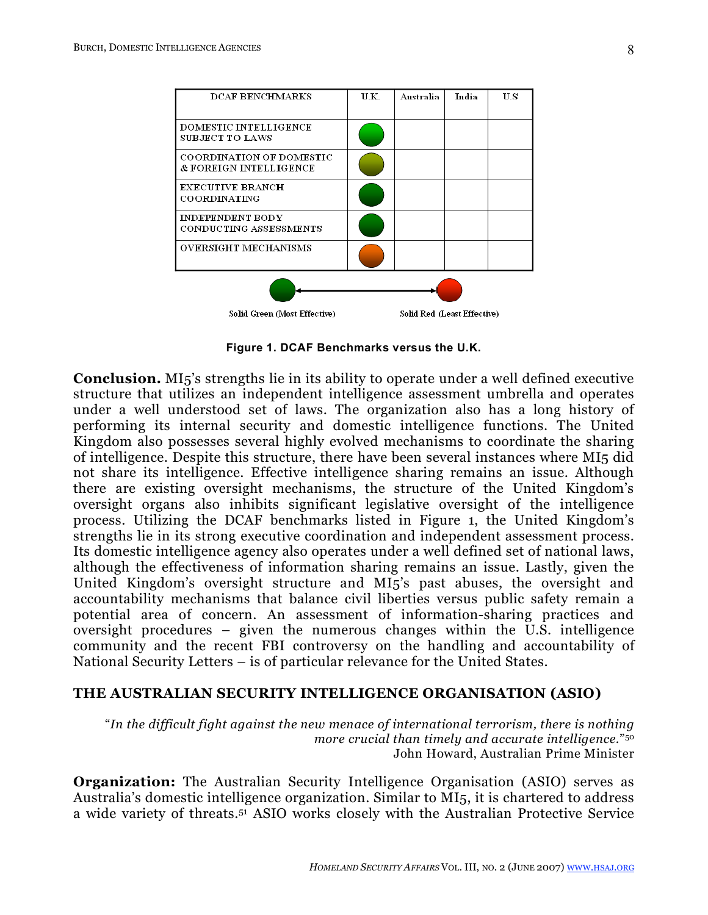| <b>DCAF BENCHMARKS</b>                                        | U.K.                        | Australia | India | U.S |
|---------------------------------------------------------------|-----------------------------|-----------|-------|-----|
| <b>DOMESTIC INTELLIGENCE</b><br>SUBJECT TO LAWS               |                             |           |       |     |
| COORDINATION OF DOMESTIC<br><b>&amp; FOREIGN INTELLIGENCE</b> |                             |           |       |     |
| <b>EXECUTIVE BRANCH</b><br>COORDINATING                       |                             |           |       |     |
| <b>INDEPENDENT BODY</b><br>CONDUCTING ASSESSMENTS             |                             |           |       |     |
| OVERSIGHT MECHANISMS                                          |                             |           |       |     |
|                                                               |                             |           |       |     |
| Solid Green (Most Effective)                                  | Solid Red (Least Effective) |           |       |     |

**Figure 1. DCAF Benchmarks versus the U.K.**

**Conclusion.** MI<sub>5</sub>'s strengths lie in its ability to operate under a well defined executive structure that utilizes an independent intelligence assessment umbrella and operates under a well understood set of laws. The organization also has a long history of performing its internal security and domestic intelligence functions. The United Kingdom also possesses several highly evolved mechanisms to coordinate the sharing of intelligence. Despite this structure, there have been several instances where MI5 did not share its intelligence. Effective intelligence sharing remains an issue. Although there are existing oversight mechanisms, the structure of the United Kingdom's oversight organs also inhibits significant legislative oversight of the intelligence process. Utilizing the DCAF benchmarks listed in Figure 1, the United Kingdom's strengths lie in its strong executive coordination and independent assessment process. Its domestic intelligence agency also operates under a well defined set of national laws, although the effectiveness of information sharing remains an issue. Lastly, given the United Kingdom's oversight structure and MI5's past abuses, the oversight and accountability mechanisms that balance civil liberties versus public safety remain a potential area of concern. An assessment of information-sharing practices and oversight procedures – given the numerous changes within the U.S. intelligence community and the recent FBI controversy on the handling and accountability of National Security Letters – is of particular relevance for the United States.

#### **THE AUSTRALIAN SECURITY INTELLIGENCE ORGANISATION (ASIO)**

"*In the difficult fight against the new menace of international terrorism, there is nothing more crucial than timely and accurate intelligence*."50 John Howard, Australian Prime Minister

**Organization:** The Australian Security Intelligence Organisation (ASIO) serves as Australia's domestic intelligence organization. Similar to MI5, it is chartered to address a wide variety of threats.51 ASIO works closely with the Australian Protective Service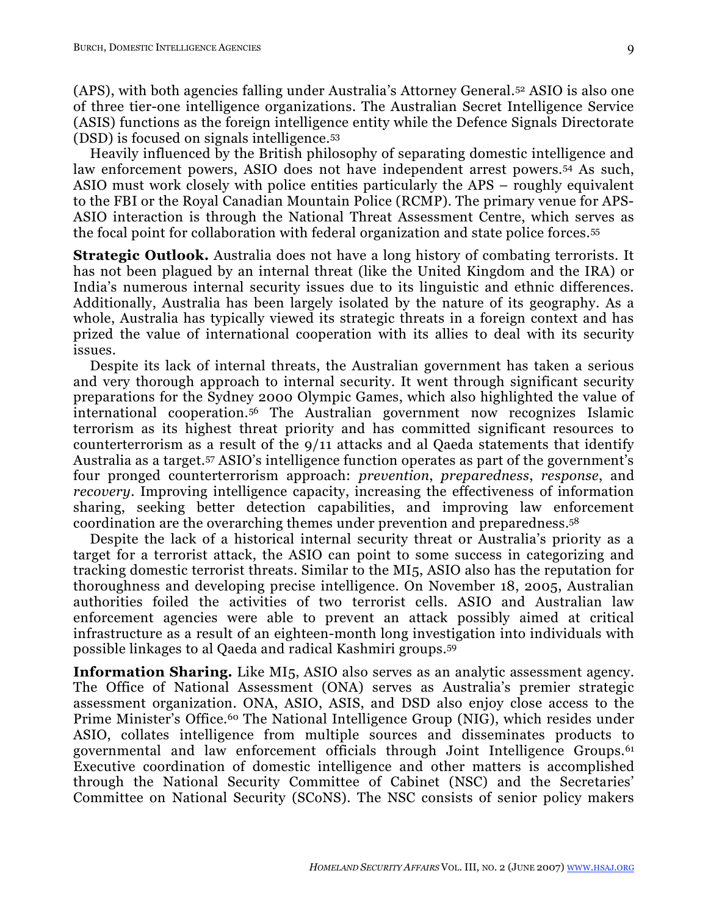(APS), with both agencies falling under Australia's Attorney General.52 ASIO is also one of three tier-one intelligence organizations. The Australian Secret Intelligence Service (ASIS) functions as the foreign intelligence entity while the Defence Signals Directorate (DSD) is focused on signals intelligence.53

Heavily influenced by the British philosophy of separating domestic intelligence and law enforcement powers, ASIO does not have independent arrest powers.54 As such, ASIO must work closely with police entities particularly the APS – roughly equivalent to the FBI or the Royal Canadian Mountain Police (RCMP). The primary venue for APS-ASIO interaction is through the National Threat Assessment Centre, which serves as the focal point for collaboration with federal organization and state police forces.55

**Strategic Outlook.** Australia does not have a long history of combating terrorists. It has not been plagued by an internal threat (like the United Kingdom and the IRA) or India's numerous internal security issues due to its linguistic and ethnic differences. Additionally, Australia has been largely isolated by the nature of its geography. As a whole, Australia has typically viewed its strategic threats in a foreign context and has prized the value of international cooperation with its allies to deal with its security issues.

Despite its lack of internal threats, the Australian government has taken a serious and very thorough approach to internal security. It went through significant security preparations for the Sydney 2000 Olympic Games, which also highlighted the value of international cooperation.56 The Australian government now recognizes Islamic terrorism as its highest threat priority and has committed significant resources to counterterrorism as a result of the 9/11 attacks and al Qaeda statements that identify Australia as a target.57 ASIO's intelligence function operates as part of the government's four pronged counterterrorism approach: *prevention*, *preparedness*, *response*, and *recovery*. Improving intelligence capacity, increasing the effectiveness of information sharing, seeking better detection capabilities, and improving law enforcement coordination are the overarching themes under prevention and preparedness.58

Despite the lack of a historical internal security threat or Australia's priority as a target for a terrorist attack, the ASIO can point to some success in categorizing and tracking domestic terrorist threats. Similar to the MI5, ASIO also has the reputation for thoroughness and developing precise intelligence. On November 18, 2005, Australian authorities foiled the activities of two terrorist cells. ASIO and Australian law enforcement agencies were able to prevent an attack possibly aimed at critical infrastructure as a result of an eighteen-month long investigation into individuals with possible linkages to al Qaeda and radical Kashmiri groups.59

**Information Sharing.** Like MI<sub>5</sub>, ASIO also serves as an analytic assessment agency. The Office of National Assessment (ONA) serves as Australia's premier strategic assessment organization. ONA, ASIO, ASIS, and DSD also enjoy close access to the Prime Minister's Office.<sup>60</sup> The National Intelligence Group (NIG), which resides under ASIO, collates intelligence from multiple sources and disseminates products to governmental and law enforcement officials through Joint Intelligence Groups.61 Executive coordination of domestic intelligence and other matters is accomplished through the National Security Committee of Cabinet (NSC) and the Secretaries' Committee on National Security (SCoNS). The NSC consists of senior policy makers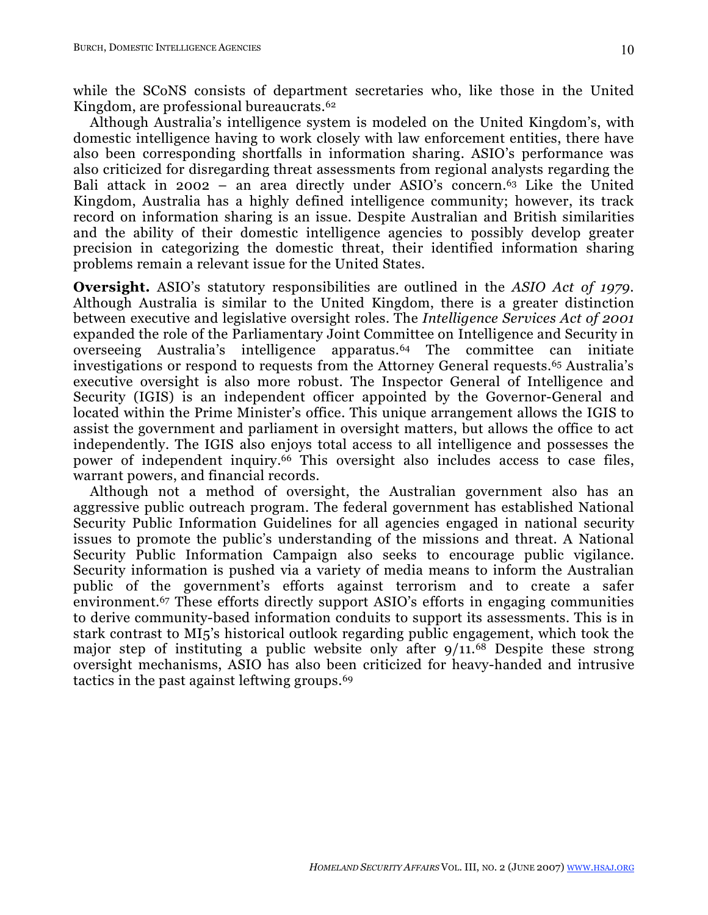while the SCoNS consists of department secretaries who, like those in the United Kingdom, are professional bureaucrats.<sup>62</sup>

Although Australia's intelligence system is modeled on the United Kingdom's, with domestic intelligence having to work closely with law enforcement entities, there have also been corresponding shortfalls in information sharing. ASIO's performance was also criticized for disregarding threat assessments from regional analysts regarding the Bali attack in 2002 – an area directly under ASIO's concern.63 Like the United Kingdom, Australia has a highly defined intelligence community; however, its track record on information sharing is an issue. Despite Australian and British similarities and the ability of their domestic intelligence agencies to possibly develop greater precision in categorizing the domestic threat, their identified information sharing problems remain a relevant issue for the United States.

**Oversight.** ASIO's statutory responsibilities are outlined in the *ASIO Act of 1979*. Although Australia is similar to the United Kingdom, there is a greater distinction between executive and legislative oversight roles. The *Intelligence Services Act of 2001* expanded the role of the Parliamentary Joint Committee on Intelligence and Security in overseeing Australia's intelligence apparatus.64 The committee can initiate investigations or respond to requests from the Attorney General requests.65 Australia's executive oversight is also more robust. The Inspector General of Intelligence and Security (IGIS) is an independent officer appointed by the Governor-General and located within the Prime Minister's office. This unique arrangement allows the IGIS to assist the government and parliament in oversight matters, but allows the office to act independently. The IGIS also enjoys total access to all intelligence and possesses the power of independent inquiry.66 This oversight also includes access to case files, warrant powers, and financial records.

Although not a method of oversight, the Australian government also has an aggressive public outreach program. The federal government has established National Security Public Information Guidelines for all agencies engaged in national security issues to promote the public's understanding of the missions and threat. A National Security Public Information Campaign also seeks to encourage public vigilance. Security information is pushed via a variety of media means to inform the Australian public of the government's efforts against terrorism and to create a safer environment.67 These efforts directly support ASIO's efforts in engaging communities to derive community-based information conduits to support its assessments. This is in stark contrast to MI5's historical outlook regarding public engagement, which took the major step of instituting a public website only after  $9/11.68$  Despite these strong oversight mechanisms, ASIO has also been criticized for heavy-handed and intrusive tactics in the past against leftwing groups.69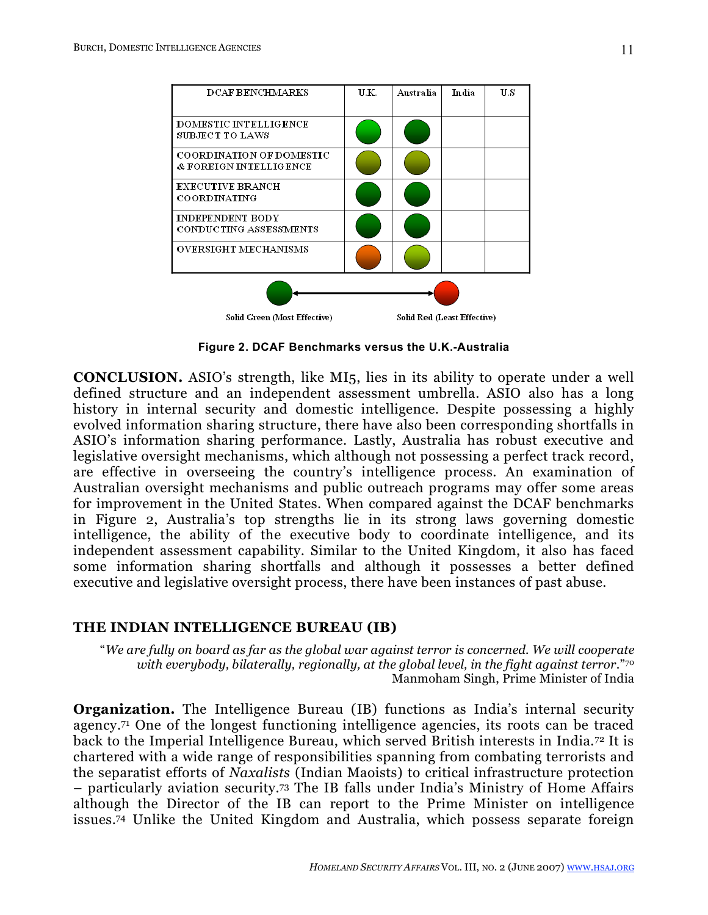| <b>DCAF BENCHMARKS</b>                                    | U.K.                        | Australia | India | U.S |
|-----------------------------------------------------------|-----------------------------|-----------|-------|-----|
| <b>DOMESTIC INTELLIGENCE</b><br><b>SUBJECT TO LAWS</b>    |                             |           |       |     |
| <b>COORDINATION OF DOMESTIC</b><br>& FOREIGN INTELLIGENCE |                             |           |       |     |
| <b>EXECUTIVE BRANCH</b><br><b>COORDINATING</b>            |                             |           |       |     |
| <b>INDEPENDENT BODY</b><br><b>CONDUCTING ASSESSMENTS</b>  |                             |           |       |     |
| <b>OVERSIGHT MECHANISMS</b>                               |                             |           |       |     |
|                                                           |                             |           |       |     |
| Solid Green (Most Effective)                              | Solid Red (Least Effective) |           |       |     |

**Figure 2. DCAF Benchmarks versus the U.K.-Australia**

**CONCLUSION.** ASIO's strength, like MI5, lies in its ability to operate under a well defined structure and an independent assessment umbrella. ASIO also has a long history in internal security and domestic intelligence. Despite possessing a highly evolved information sharing structure, there have also been corresponding shortfalls in ASIO's information sharing performance. Lastly, Australia has robust executive and legislative oversight mechanisms, which although not possessing a perfect track record, are effective in overseeing the country's intelligence process. An examination of Australian oversight mechanisms and public outreach programs may offer some areas for improvement in the United States. When compared against the DCAF benchmarks in Figure 2, Australia's top strengths lie in its strong laws governing domestic intelligence, the ability of the executive body to coordinate intelligence, and its independent assessment capability. Similar to the United Kingdom, it also has faced some information sharing shortfalls and although it possesses a better defined executive and legislative oversight process, there have been instances of past abuse.

## **THE INDIAN INTELLIGENCE BUREAU (IB)**

"*We are fully on board as far as the global war against terror is concerned. We will cooperate with everybody, bilaterally, regionally, at the global level, in the fight against terror*."70 Manmoham Singh, Prime Minister of India

**Organization.** The Intelligence Bureau (IB) functions as India's internal security agency.71 One of the longest functioning intelligence agencies, its roots can be traced back to the Imperial Intelligence Bureau, which served British interests in India.72 It is chartered with a wide range of responsibilities spanning from combating terrorists and the separatist efforts of *Naxalists* (Indian Maoists) to critical infrastructure protection – particularly aviation security.73 The IB falls under India's Ministry of Home Affairs although the Director of the IB can report to the Prime Minister on intelligence issues.74 Unlike the United Kingdom and Australia, which possess separate foreign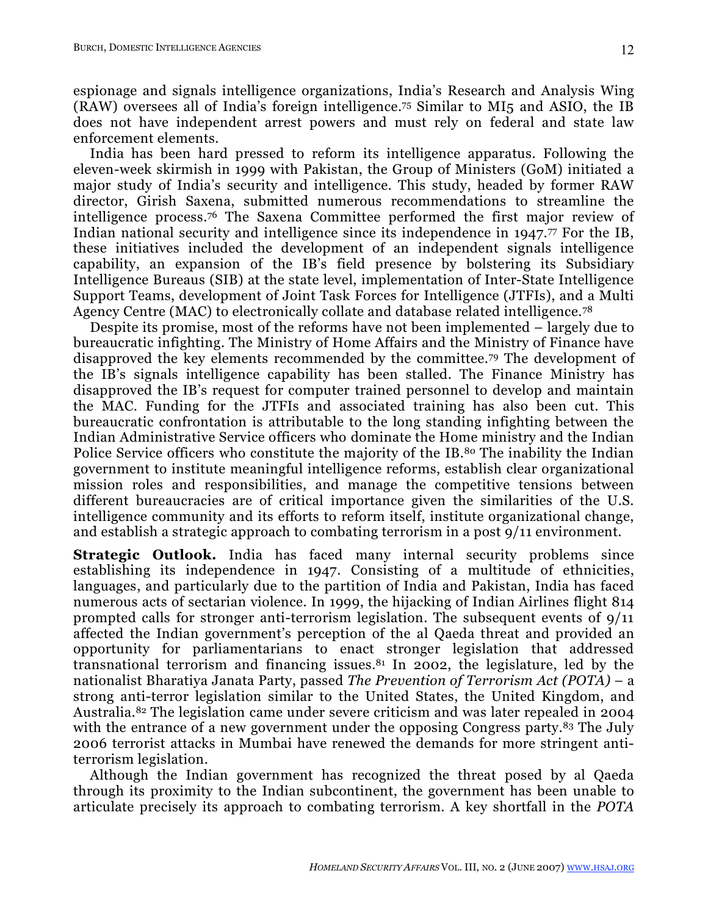espionage and signals intelligence organizations, India's Research and Analysis Wing (RAW) oversees all of India's foreign intelligence.75 Similar to MI5 and ASIO, the IB does not have independent arrest powers and must rely on federal and state law enforcement elements.

India has been hard pressed to reform its intelligence apparatus. Following the eleven-week skirmish in 1999 with Pakistan, the Group of Ministers (GoM) initiated a major study of India's security and intelligence. This study, headed by former RAW director, Girish Saxena, submitted numerous recommendations to streamline the intelligence process.76 The Saxena Committee performed the first major review of Indian national security and intelligence since its independence in 1947.77 For the IB, these initiatives included the development of an independent signals intelligence capability, an expansion of the IB's field presence by bolstering its Subsidiary Intelligence Bureaus (SIB) at the state level, implementation of Inter-State Intelligence Support Teams, development of Joint Task Forces for Intelligence (JTFIs), and a Multi Agency Centre (MAC) to electronically collate and database related intelligence.78

Despite its promise, most of the reforms have not been implemented – largely due to bureaucratic infighting. The Ministry of Home Affairs and the Ministry of Finance have disapproved the key elements recommended by the committee.79 The development of the IB's signals intelligence capability has been stalled. The Finance Ministry has disapproved the IB's request for computer trained personnel to develop and maintain the MAC. Funding for the JTFIs and associated training has also been cut. This bureaucratic confrontation is attributable to the long standing infighting between the Indian Administrative Service officers who dominate the Home ministry and the Indian Police Service officers who constitute the majority of the IB.<sup>80</sup> The inability the Indian government to institute meaningful intelligence reforms, establish clear organizational mission roles and responsibilities, and manage the competitive tensions between different bureaucracies are of critical importance given the similarities of the U.S. intelligence community and its efforts to reform itself, institute organizational change, and establish a strategic approach to combating terrorism in a post 9/11 environment.

**Strategic Outlook.** India has faced many internal security problems since establishing its independence in 1947. Consisting of a multitude of ethnicities, languages, and particularly due to the partition of India and Pakistan, India has faced numerous acts of sectarian violence. In 1999, the hijacking of Indian Airlines flight 814 prompted calls for stronger anti-terrorism legislation. The subsequent events of 9/11 affected the Indian government's perception of the al Qaeda threat and provided an opportunity for parliamentarians to enact stronger legislation that addressed transnational terrorism and financing issues. $81$  In 2002, the legislature, led by the nationalist Bharatiya Janata Party, passed *The Prevention of Terrorism Act (POTA)* – a strong anti-terror legislation similar to the United States, the United Kingdom, and Australia.82 The legislation came under severe criticism and was later repealed in 2004 with the entrance of a new government under the opposing Congress party.<sup>83</sup> The July 2006 terrorist attacks in Mumbai have renewed the demands for more stringent antiterrorism legislation.

Although the Indian government has recognized the threat posed by al Qaeda through its proximity to the Indian subcontinent, the government has been unable to articulate precisely its approach to combating terrorism. A key shortfall in the *POTA*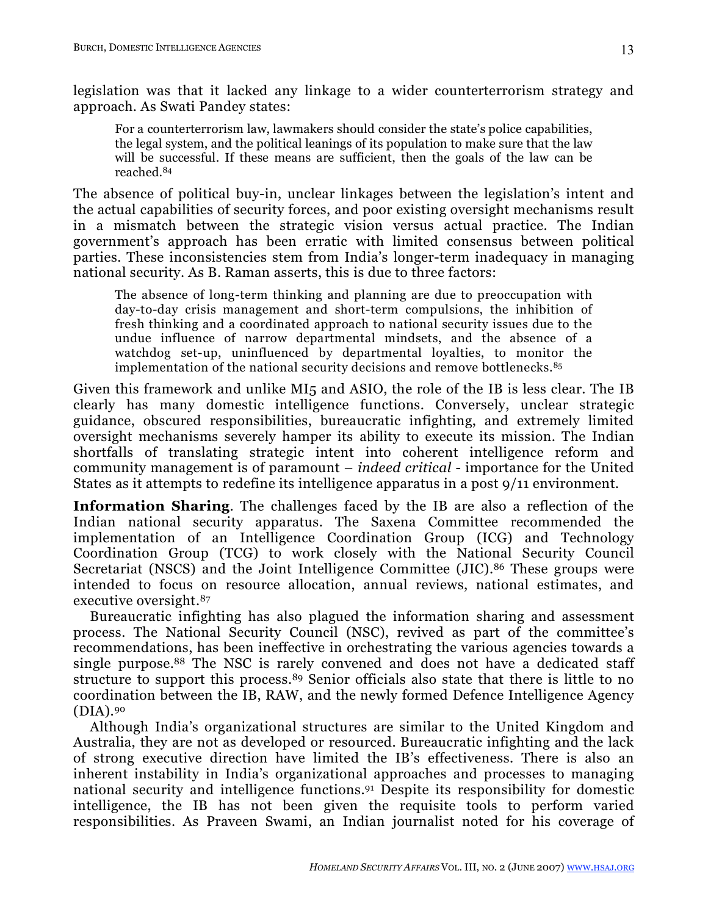legislation was that it lacked any linkage to a wider counterterrorism strategy and approach. As Swati Pandey states:

For a counterterrorism law, lawmakers should consider the state's police capabilities, the legal system, and the political leanings of its population to make sure that the law will be successful. If these means are sufficient, then the goals of the law can be reached. 84

The absence of political buy-in, unclear linkages between the legislation's intent and the actual capabilities of security forces, and poor existing oversight mechanisms result in a mismatch between the strategic vision versus actual practice. The Indian government's approach has been erratic with limited consensus between political parties. These inconsistencies stem from India's longer-term inadequacy in managing national security. As B. Raman asserts, this is due to three factors:

The absence of long-term thinking and planning are due to preoccupation with day-to-day crisis management and short-term compulsions, the inhibition of fresh thinking and a coordinated approach to national security issues due to the undue influence of narrow departmental mindsets, and the absence of a watchdog set-up, uninfluenced by departmental loyalties, to monitor the implementation of the national security decisions and remove bottlenecks.<sup>85</sup>

Given this framework and unlike MI5 and ASIO, the role of the IB is less clear. The IB clearly has many domestic intelligence functions. Conversely, unclear strategic guidance, obscured responsibilities, bureaucratic infighting, and extremely limited oversight mechanisms severely hamper its ability to execute its mission. The Indian shortfalls of translating strategic intent into coherent intelligence reform and community management is of paramount – *indeed critical* - importance for the United States as it attempts to redefine its intelligence apparatus in a post 9/11 environment.

**Information Sharing**. The challenges faced by the IB are also a reflection of the Indian national security apparatus. The Saxena Committee recommended the implementation of an Intelligence Coordination Group (ICG) and Technology Coordination Group (TCG) to work closely with the National Security Council Secretariat (NSCS) and the Joint Intelligence Committee (JIC).<sup>86</sup> These groups were intended to focus on resource allocation, annual reviews, national estimates, and executive oversight.87

Bureaucratic infighting has also plagued the information sharing and assessment process. The National Security Council (NSC), revived as part of the committee's recommendations, has been ineffective in orchestrating the various agencies towards a single purpose.88 The NSC is rarely convened and does not have a dedicated staff structure to support this process.<sup>89</sup> Senior officials also state that there is little to no coordination between the IB, RAW, and the newly formed Defence Intelligence Agency (DIA).90

Although India's organizational structures are similar to the United Kingdom and Australia, they are not as developed or resourced. Bureaucratic infighting and the lack of strong executive direction have limited the IB's effectiveness. There is also an inherent instability in India's organizational approaches and processes to managing national security and intelligence functions.91 Despite its responsibility for domestic intelligence, the IB has not been given the requisite tools to perform varied responsibilities. As Praveen Swami, an Indian journalist noted for his coverage of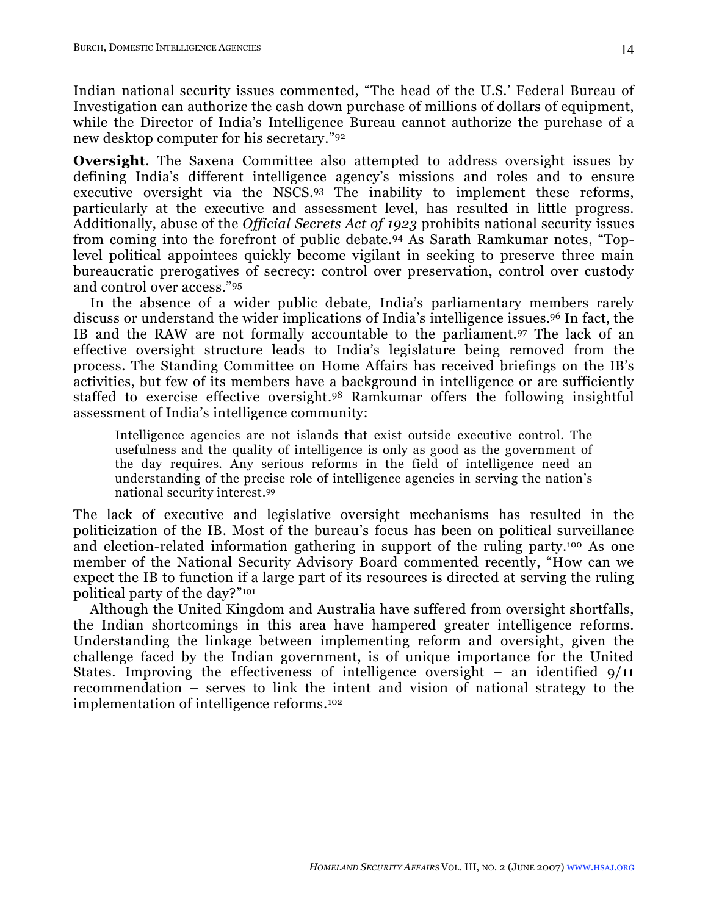Indian national security issues commented, "The head of the U.S.' Federal Bureau of Investigation can authorize the cash down purchase of millions of dollars of equipment, while the Director of India's Intelligence Bureau cannot authorize the purchase of a new desktop computer for his secretary."92

**Oversight**. The Saxena Committee also attempted to address oversight issues by defining India's different intelligence agency's missions and roles and to ensure executive oversight via the NSCS.93 The inability to implement these reforms, particularly at the executive and assessment level, has resulted in little progress. Additionally, abuse of the *Official Secrets Act of 1923* prohibits national security issues from coming into the forefront of public debate.94 As Sarath Ramkumar notes, "Toplevel political appointees quickly become vigilant in seeking to preserve three main bureaucratic prerogatives of secrecy: control over preservation, control over custody and control over access."95

In the absence of a wider public debate, India's parliamentary members rarely discuss or understand the wider implications of India's intelligence issues.96 In fact, the IB and the RAW are not formally accountable to the parliament.97 The lack of an effective oversight structure leads to India's legislature being removed from the process. The Standing Committee on Home Affairs has received briefings on the IB's activities, but few of its members have a background in intelligence or are sufficiently staffed to exercise effective oversight.98 Ramkumar offers the following insightful assessment of India's intelligence community:

Intelligence agencies are not islands that exist outside executive control. The usefulness and the quality of intelligence is only as good as the government of the day requires. Any serious reforms in the field of intelligence need an understanding of the precise role of intelligence agencies in serving the nation's national security interest.99

The lack of executive and legislative oversight mechanisms has resulted in the politicization of the IB. Most of the bureau's focus has been on political surveillance and election-related information gathering in support of the ruling party.100 As one member of the National Security Advisory Board commented recently, "How can we expect the IB to function if a large part of its resources is directed at serving the ruling political party of the day?"101

Although the United Kingdom and Australia have suffered from oversight shortfalls, the Indian shortcomings in this area have hampered greater intelligence reforms. Understanding the linkage between implementing reform and oversight, given the challenge faced by the Indian government, is of unique importance for the United States. Improving the effectiveness of intelligence oversight – an identified  $9/11$ recommendation – serves to link the intent and vision of national strategy to the implementation of intelligence reforms.102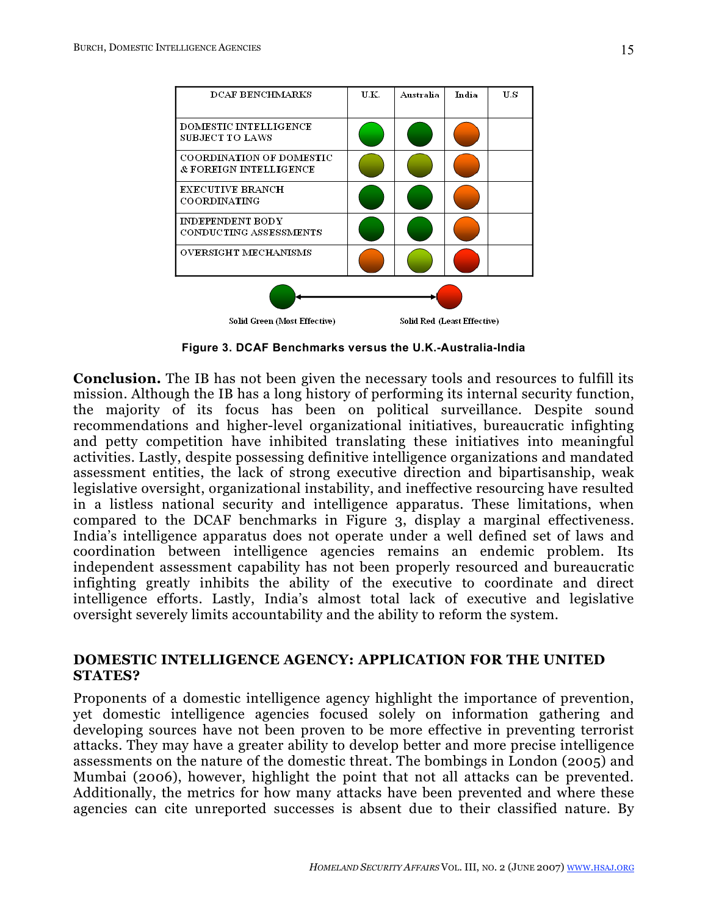| <b>DCAF BENCHMARKS</b>                                        | U.K.                        | Australia | India | U.S |
|---------------------------------------------------------------|-----------------------------|-----------|-------|-----|
| <b>DOMESTIC INTELLIGENCE</b><br><b>SUBJECT TO LAWS</b>        |                             |           |       |     |
| COORDINATION OF DOMESTIC<br><b>&amp; FOREIGN INTELLIGENCE</b> |                             |           |       |     |
| <b>EXECUTIVE BRANCH</b><br>COORDINATING                       |                             |           |       |     |
| <b>INDEPENDENT BODY</b><br><b>CONDUCTING ASSESSMENTS</b>      |                             |           |       |     |
| <b>OVERSIGHT MECHANISMS</b>                                   |                             |           |       |     |
|                                                               |                             |           |       |     |
| Solid Green (Most Effective)                                  | Solid Red (Least Effective) |           |       |     |

**Figure 3. DCAF Benchmarks versus the U.K.-Australia-India**

**Conclusion.** The IB has not been given the necessary tools and resources to fulfill its mission. Although the IB has a long history of performing its internal security function, the majority of its focus has been on political surveillance. Despite sound recommendations and higher-level organizational initiatives, bureaucratic infighting and petty competition have inhibited translating these initiatives into meaningful activities. Lastly, despite possessing definitive intelligence organizations and mandated assessment entities, the lack of strong executive direction and bipartisanship, weak legislative oversight, organizational instability, and ineffective resourcing have resulted in a listless national security and intelligence apparatus. These limitations, when compared to the DCAF benchmarks in Figure 3, display a marginal effectiveness. India's intelligence apparatus does not operate under a well defined set of laws and coordination between intelligence agencies remains an endemic problem. Its independent assessment capability has not been properly resourced and bureaucratic infighting greatly inhibits the ability of the executive to coordinate and direct intelligence efforts. Lastly, India's almost total lack of executive and legislative oversight severely limits accountability and the ability to reform the system.

### **DOMESTIC INTELLIGENCE AGENCY: APPLICATION FOR THE UNITED STATES?**

Proponents of a domestic intelligence agency highlight the importance of prevention, yet domestic intelligence agencies focused solely on information gathering and developing sources have not been proven to be more effective in preventing terrorist attacks. They may have a greater ability to develop better and more precise intelligence assessments on the nature of the domestic threat. The bombings in London (2005) and Mumbai (2006), however, highlight the point that not all attacks can be prevented. Additionally, the metrics for how many attacks have been prevented and where these agencies can cite unreported successes is absent due to their classified nature. By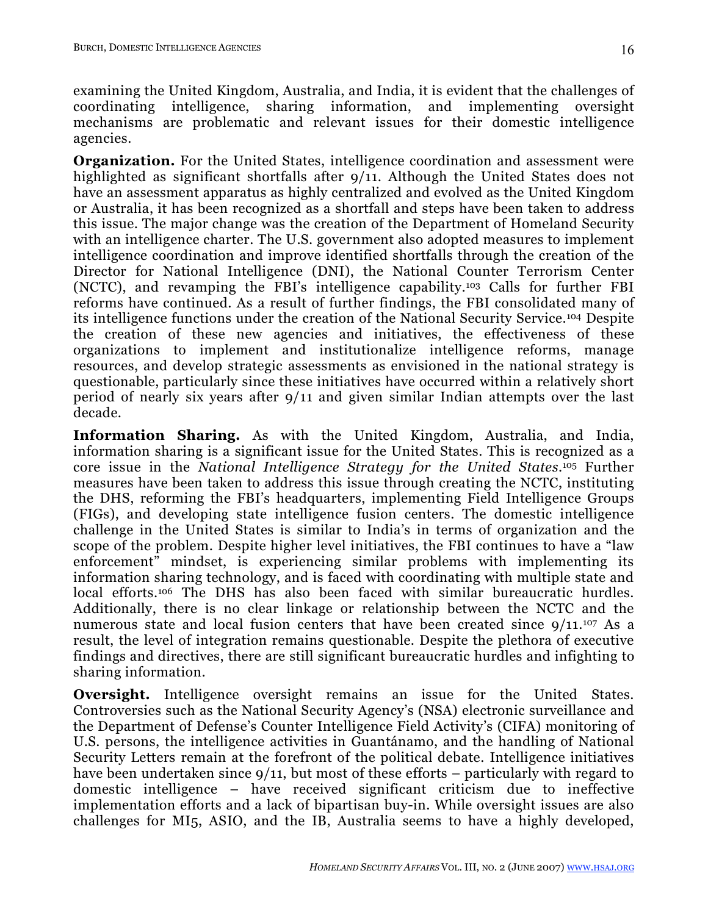examining the United Kingdom, Australia, and India, it is evident that the challenges of coordinating intelligence, sharing information, and implementing oversight mechanisms are problematic and relevant issues for their domestic intelligence agencies.

**Organization.** For the United States, intelligence coordination and assessment were highlighted as significant shortfalls after 9/11. Although the United States does not have an assessment apparatus as highly centralized and evolved as the United Kingdom or Australia, it has been recognized as a shortfall and steps have been taken to address this issue. The major change was the creation of the Department of Homeland Security with an intelligence charter. The U.S. government also adopted measures to implement intelligence coordination and improve identified shortfalls through the creation of the Director for National Intelligence (DNI), the National Counter Terrorism Center (NCTC), and revamping the FBI's intelligence capability.103 Calls for further FBI reforms have continued. As a result of further findings, the FBI consolidated many of its intelligence functions under the creation of the National Security Service.104 Despite the creation of these new agencies and initiatives, the effectiveness of these organizations to implement and institutionalize intelligence reforms, manage resources, and develop strategic assessments as envisioned in the national strategy is questionable, particularly since these initiatives have occurred within a relatively short period of nearly six years after 9/11 and given similar Indian attempts over the last decade.

**Information Sharing.** As with the United Kingdom, Australia, and India, information sharing is a significant issue for the United States. This is recognized as a core issue in the *National Intelligence Strategy for the United States*.105 Further measures have been taken to address this issue through creating the NCTC, instituting the DHS, reforming the FBI's headquarters, implementing Field Intelligence Groups (FIGs), and developing state intelligence fusion centers. The domestic intelligence challenge in the United States is similar to India's in terms of organization and the scope of the problem. Despite higher level initiatives, the FBI continues to have a "law enforcement" mindset, is experiencing similar problems with implementing its information sharing technology, and is faced with coordinating with multiple state and local efforts.<sup>106</sup> The DHS has also been faced with similar bureaucratic hurdles. Additionally, there is no clear linkage or relationship between the NCTC and the numerous state and local fusion centers that have been created since  $9/11$ .<sup>107</sup> As a result, the level of integration remains questionable. Despite the plethora of executive findings and directives, there are still significant bureaucratic hurdles and infighting to sharing information.

**Oversight.** Intelligence oversight remains an issue for the United States. Controversies such as the National Security Agency's (NSA) electronic surveillance and the Department of Defense's Counter Intelligence Field Activity's (CIFA) monitoring of U.S. persons, the intelligence activities in Guantánamo, and the handling of National Security Letters remain at the forefront of the political debate. Intelligence initiatives have been undertaken since 9/11, but most of these efforts – particularly with regard to domestic intelligence – have received significant criticism due to ineffective implementation efforts and a lack of bipartisan buy-in. While oversight issues are also challenges for MI5, ASIO, and the IB, Australia seems to have a highly developed,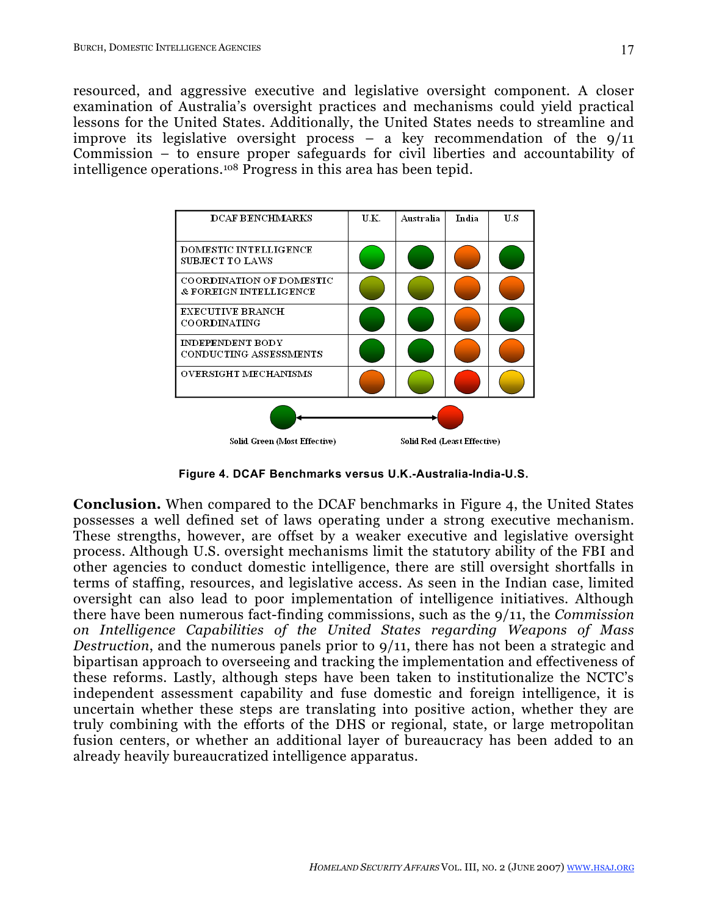resourced, and aggressive executive and legislative oversight component. A closer examination of Australia's oversight practices and mechanisms could yield practical lessons for the United States. Additionally, the United States needs to streamline and improve its legislative oversight process – a key recommendation of the  $9/11$ Commission – to ensure proper safeguards for civil liberties and accountability of intelligence operations.108 Progress in this area has been tepid.

| <b>DCAF BENCHMARKS</b>                                               | U.K.                        | Australia | India | U.S |
|----------------------------------------------------------------------|-----------------------------|-----------|-------|-----|
| <b>DOMESTIC INTELLIGENCE</b><br><b>SUBJECT TO LAWS</b>               |                             |           |       |     |
| <b>COORDINATION OF DOMESTIC</b><br><b>&amp; FOREIGN INTELLIGENCE</b> |                             |           |       |     |
| <b>EXECUTIVE BRANCH</b><br>COORDINATING                              |                             |           |       |     |
| <b>INDEPENDENT BODY</b><br><b>CONDUCTING ASSESSMENTS</b>             |                             |           |       |     |
| <b>OVERSIGHT MECHANISMS</b>                                          |                             |           |       |     |
|                                                                      |                             |           |       |     |
| Solid Green (Most Effective)                                         | Solid Red (Least Effective) |           |       |     |

**Figure 4. DCAF Benchmarks versus U.K.-Australia-India-U.S.**

**Conclusion.** When compared to the DCAF benchmarks in Figure 4, the United States possesses a well defined set of laws operating under a strong executive mechanism. These strengths, however, are offset by a weaker executive and legislative oversight process. Although U.S. oversight mechanisms limit the statutory ability of the FBI and other agencies to conduct domestic intelligence, there are still oversight shortfalls in terms of staffing, resources, and legislative access. As seen in the Indian case, limited oversight can also lead to poor implementation of intelligence initiatives. Although there have been numerous fact-finding commissions, such as the 9/11, the *Commission on Intelligence Capabilities of the United States regarding Weapons of Mass Destruction*, and the numerous panels prior to 9/11, there has not been a strategic and bipartisan approach to overseeing and tracking the implementation and effectiveness of these reforms. Lastly, although steps have been taken to institutionalize the NCTC's independent assessment capability and fuse domestic and foreign intelligence, it is uncertain whether these steps are translating into positive action, whether they are truly combining with the efforts of the DHS or regional, state, or large metropolitan fusion centers, or whether an additional layer of bureaucracy has been added to an already heavily bureaucratized intelligence apparatus.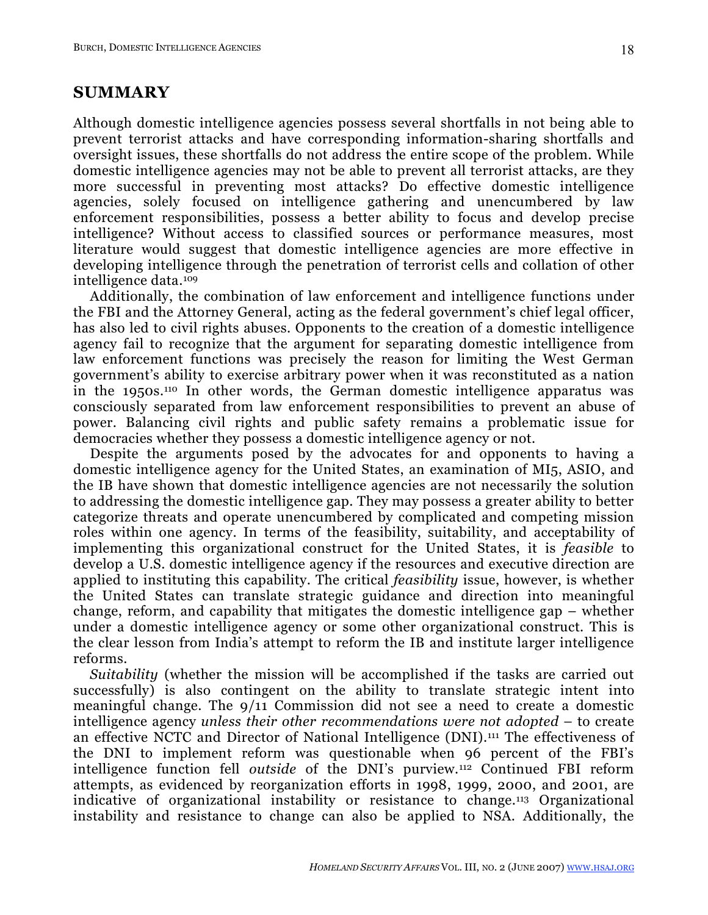### **SUMMARY**

Although domestic intelligence agencies possess several shortfalls in not being able to prevent terrorist attacks and have corresponding information-sharing shortfalls and oversight issues, these shortfalls do not address the entire scope of the problem. While domestic intelligence agencies may not be able to prevent all terrorist attacks, are they more successful in preventing most attacks? Do effective domestic intelligence agencies, solely focused on intelligence gathering and unencumbered by law enforcement responsibilities, possess a better ability to focus and develop precise intelligence? Without access to classified sources or performance measures, most literature would suggest that domestic intelligence agencies are more effective in developing intelligence through the penetration of terrorist cells and collation of other intelligence data.109

Additionally, the combination of law enforcement and intelligence functions under the FBI and the Attorney General, acting as the federal government's chief legal officer, has also led to civil rights abuses. Opponents to the creation of a domestic intelligence agency fail to recognize that the argument for separating domestic intelligence from law enforcement functions was precisely the reason for limiting the West German government's ability to exercise arbitrary power when it was reconstituted as a nation in the 1950s.110 In other words, the German domestic intelligence apparatus was consciously separated from law enforcement responsibilities to prevent an abuse of power. Balancing civil rights and public safety remains a problematic issue for democracies whether they possess a domestic intelligence agency or not.

Despite the arguments posed by the advocates for and opponents to having a domestic intelligence agency for the United States, an examination of MI5, ASIO, and the IB have shown that domestic intelligence agencies are not necessarily the solution to addressing the domestic intelligence gap. They may possess a greater ability to better categorize threats and operate unencumbered by complicated and competing mission roles within one agency. In terms of the feasibility, suitability, and acceptability of implementing this organizational construct for the United States, it is *feasible* to develop a U.S. domestic intelligence agency if the resources and executive direction are applied to instituting this capability. The critical *feasibility* issue, however, is whether the United States can translate strategic guidance and direction into meaningful change, reform, and capability that mitigates the domestic intelligence gap – whether under a domestic intelligence agency or some other organizational construct. This is the clear lesson from India's attempt to reform the IB and institute larger intelligence reforms.

*Suitability* (whether the mission will be accomplished if the tasks are carried out successfully) is also contingent on the ability to translate strategic intent into meaningful change. The 9/11 Commission did not see a need to create a domestic intelligence agency *unless their other recommendations were not adopted* – to create an effective NCTC and Director of National Intelligence (DNI).111 The effectiveness of the DNI to implement reform was questionable when 96 percent of the FBI's intelligence function fell *outside* of the DNI's purview.112 Continued FBI reform attempts, as evidenced by reorganization efforts in 1998, 1999, 2000, and 2001, are indicative of organizational instability or resistance to change.113 Organizational instability and resistance to change can also be applied to NSA. Additionally, the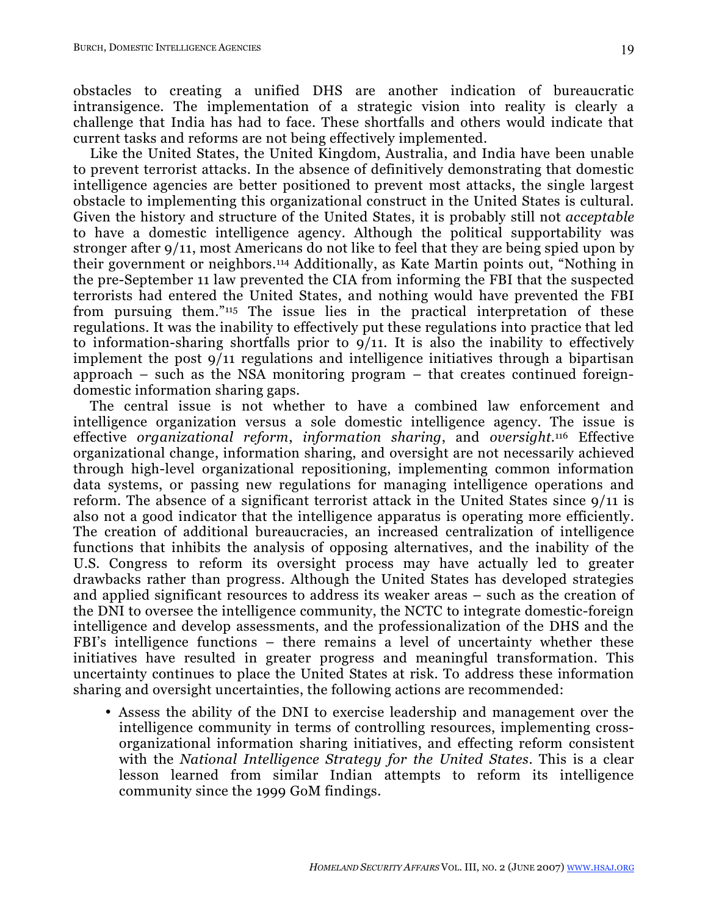obstacles to creating a unified DHS are another indication of bureaucratic intransigence. The implementation of a strategic vision into reality is clearly a challenge that India has had to face. These shortfalls and others would indicate that current tasks and reforms are not being effectively implemented.

Like the United States, the United Kingdom, Australia, and India have been unable to prevent terrorist attacks. In the absence of definitively demonstrating that domestic intelligence agencies are better positioned to prevent most attacks, the single largest obstacle to implementing this organizational construct in the United States is cultural. Given the history and structure of the United States, it is probably still not *acceptable* to have a domestic intelligence agency. Although the political supportability was stronger after 9/11, most Americans do not like to feel that they are being spied upon by their government or neighbors.114 Additionally, as Kate Martin points out, "Nothing in the pre-September 11 law prevented the CIA from informing the FBI that the suspected terrorists had entered the United States, and nothing would have prevented the FBI from pursuing them."115 The issue lies in the practical interpretation of these regulations. It was the inability to effectively put these regulations into practice that led to information-sharing shortfalls prior to 9/11. It is also the inability to effectively implement the post 9/11 regulations and intelligence initiatives through a bipartisan approach – such as the NSA monitoring program – that creates continued foreigndomestic information sharing gaps.

The central issue is not whether to have a combined law enforcement and intelligence organization versus a sole domestic intelligence agency. The issue is effective *organizational reform*, *information sharing*, and *oversight*.116 Effective organizational change, information sharing, and oversight are not necessarily achieved through high-level organizational repositioning, implementing common information data systems, or passing new regulations for managing intelligence operations and reform. The absence of a significant terrorist attack in the United States since 9/11 is also not a good indicator that the intelligence apparatus is operating more efficiently. The creation of additional bureaucracies, an increased centralization of intelligence functions that inhibits the analysis of opposing alternatives, and the inability of the U.S. Congress to reform its oversight process may have actually led to greater drawbacks rather than progress. Although the United States has developed strategies and applied significant resources to address its weaker areas – such as the creation of the DNI to oversee the intelligence community, the NCTC to integrate domestic-foreign intelligence and develop assessments, and the professionalization of the DHS and the FBI's intelligence functions – there remains a level of uncertainty whether these initiatives have resulted in greater progress and meaningful transformation. This uncertainty continues to place the United States at risk. To address these information sharing and oversight uncertainties, the following actions are recommended:

• Assess the ability of the DNI to exercise leadership and management over the intelligence community in terms of controlling resources, implementing crossorganizational information sharing initiatives, and effecting reform consistent with the *National Intelligence Strategy for the United States*. This is a clear lesson learned from similar Indian attempts to reform its intelligence community since the 1999 GoM findings.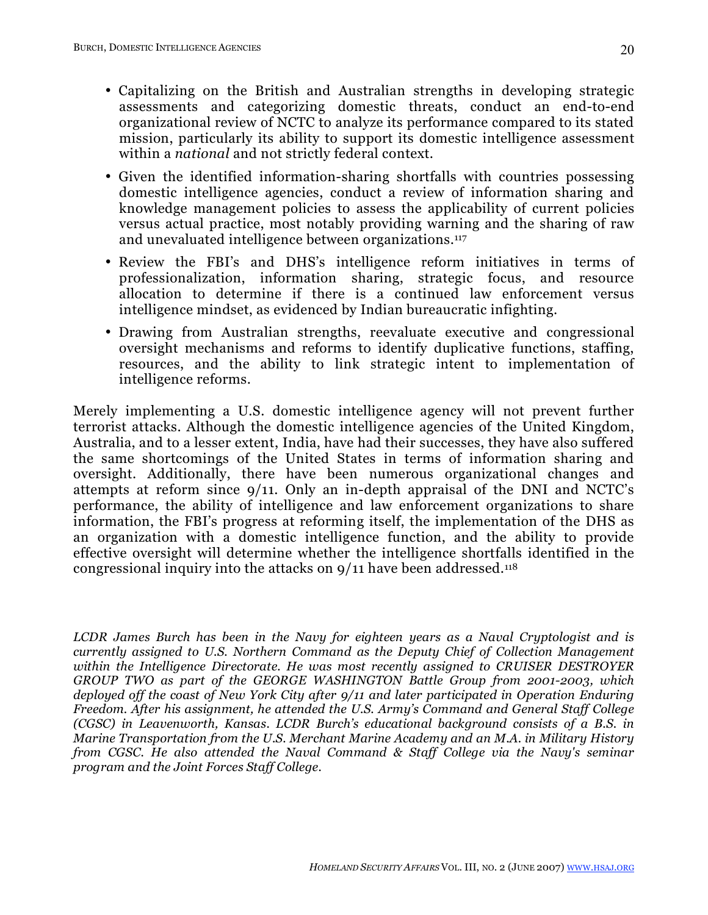- Capitalizing on the British and Australian strengths in developing strategic assessments and categorizing domestic threats, conduct an end-to-end organizational review of NCTC to analyze its performance compared to its stated mission, particularly its ability to support its domestic intelligence assessment within a *national* and not strictly federal context.
- Given the identified information-sharing shortfalls with countries possessing domestic intelligence agencies, conduct a review of information sharing and knowledge management policies to assess the applicability of current policies versus actual practice, most notably providing warning and the sharing of raw and unevaluated intelligence between organizations.117
- Review the FBI's and DHS's intelligence reform initiatives in terms of professionalization, information sharing, strategic focus, and resource allocation to determine if there is a continued law enforcement versus intelligence mindset, as evidenced by Indian bureaucratic infighting.
- Drawing from Australian strengths, reevaluate executive and congressional oversight mechanisms and reforms to identify duplicative functions, staffing, resources, and the ability to link strategic intent to implementation of intelligence reforms.

Merely implementing a U.S. domestic intelligence agency will not prevent further terrorist attacks. Although the domestic intelligence agencies of the United Kingdom, Australia, and to a lesser extent, India, have had their successes, they have also suffered the same shortcomings of the United States in terms of information sharing and oversight. Additionally, there have been numerous organizational changes and attempts at reform since 9/11. Only an in-depth appraisal of the DNI and NCTC's performance, the ability of intelligence and law enforcement organizations to share information, the FBI's progress at reforming itself, the implementation of the DHS as an organization with a domestic intelligence function, and the ability to provide effective oversight will determine whether the intelligence shortfalls identified in the congressional inquiry into the attacks on  $9/11$  have been addressed.<sup>118</sup>

*LCDR James Burch has been in the Navy for eighteen years as a Naval Cryptologist and is currently assigned to U.S. Northern Command as the Deputy Chief of Collection Management within the Intelligence Directorate. He was most recently assigned to CRUISER DESTROYER GROUP TWO as part of the GEORGE WASHINGTON Battle Group from 2001-2003, which deployed off the coast of New York City after 9/11 and later participated in Operation Enduring Freedom. After his assignment, he attended the U.S. Army's Command and General Staff College (CGSC) in Leavenworth, Kansas. LCDR Burch's educational background consists of a B.S. in Marine Transportation from the U.S. Merchant Marine Academy and an M.A. in Military History from CGSC. He also attended the Naval Command & Staff College via the Navy's seminar program and the Joint Forces Staff College.*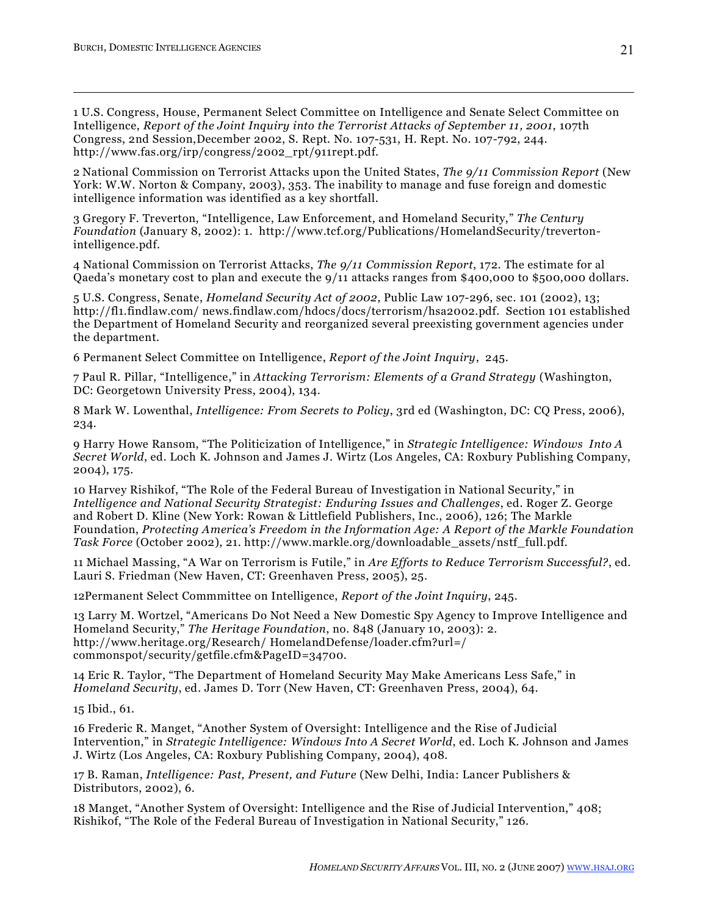$\overline{a}$ 

1 U.S. Congress, House, Permanent Select Committee on Intelligence and Senate Select Committee on Intelligence, *Report of the Joint Inquiry into the Terrorist Attacks of September 11, 2001*, 107th Congress, 2nd Session,December 2002, S. Rept. No. 107-531, H. Rept. No. 107-792, 244. http://www.fas.org/irp/congress/2002\_rpt/911rept.pdf.

2 National Commission on Terrorist Attacks upon the United States, *The 9/11 Commission Report* (New York: W.W. Norton & Company, 2003), 353. The inability to manage and fuse foreign and domestic intelligence information was identified as a key shortfall.

3 Gregory F. Treverton, "Intelligence, Law Enforcement, and Homeland Security," *The Century Foundation* (January 8, 2002): 1. http://www.tcf.org/Publications/HomelandSecurity/trevertonintelligence.pdf.

4 National Commission on Terrorist Attacks, *The 9/11 Commission Report*, 172. The estimate for al Qaeda's monetary cost to plan and execute the 9/11 attacks ranges from \$400,000 to \$500,000 dollars.

5 U.S. Congress, Senate, *Homeland Security Act of 2002*, Public Law 107-296, sec. 101 (2002), 13; http://fl1.findlaw.com/ news.findlaw.com/hdocs/docs/terrorism/hsa2002.pdf. Section 101 established the Department of Homeland Security and reorganized several preexisting government agencies under the department.

6 Permanent Select Committee on Intelligence, *Report of the Joint Inquiry*, 245.

7 Paul R. Pillar, "Intelligence," in *Attacking Terrorism: Elements of a Grand Strategy* (Washington, DC: Georgetown University Press, 2004), 134.

8 Mark W. Lowenthal, *Intelligence: From Secrets to Policy*, 3rd ed (Washington, DC: CQ Press, 2006), 234.

9 Harry Howe Ransom, "The Politicization of Intelligence," in *Strategic Intelligence: Windows Into A Secret World*, ed. Loch K. Johnson and James J. Wirtz (Los Angeles, CA: Roxbury Publishing Company, 2004), 175.

10 Harvey Rishikof, "The Role of the Federal Bureau of Investigation in National Security," in *Intelligence and National Security Strategist: Enduring Issues and Challenges*, ed. Roger Z. George and Robert D. Kline (New York: Rowan & Littlefield Publishers, Inc., 2006), 126; The Markle Foundation, *Protecting America's Freedom in the Information Age: A Report of the Markle Foundation Task Force* (October 2002), 21. http://www.markle.org/downloadable\_assets/nstf\_full.pdf.

11 Michael Massing, "A War on Terrorism is Futile," in *Are Efforts to Reduce Terrorism Successful?*, ed. Lauri S. Friedman (New Haven, CT: Greenhaven Press, 2005), 25.

12Permanent Select Commmittee on Intelligence, *Report of the Joint Inquiry*, 245.

13 Larry M. Wortzel, "Americans Do Not Need a New Domestic Spy Agency to Improve Intelligence and Homeland Security," *The Heritage Foundation*, no. 848 (January 10, 2003): 2. http://www.heritage.org/Research/ HomelandDefense/loader.cfm?url=/ commonspot/security/getfile.cfm&PageID=34700.

14 Eric R. Taylor, "The Department of Homeland Security May Make Americans Less Safe," in *Homeland Security*, ed. James D. Torr (New Haven, CT: Greenhaven Press, 2004), 64.

15 Ibid., 61.

16 Frederic R. Manget, "Another System of Oversight: Intelligence and the Rise of Judicial Intervention," in *Strategic Intelligence: Windows Into A Secret World*, ed. Loch K. Johnson and James J. Wirtz (Los Angeles, CA: Roxbury Publishing Company, 2004), 408.

17 B. Raman, *Intelligence: Past, Present, and Future* (New Delhi, India: Lancer Publishers & Distributors, 2002), 6.

18 Manget, "Another System of Oversight: Intelligence and the Rise of Judicial Intervention," 408; Rishikof, "The Role of the Federal Bureau of Investigation in National Security," 126.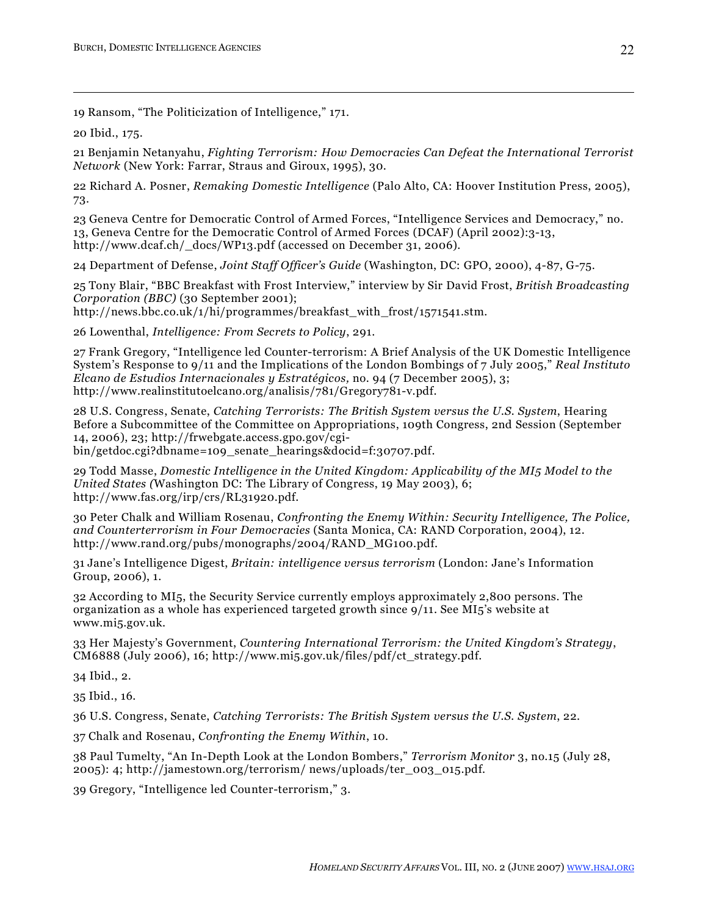19 Ransom, "The Politicization of Intelligence," 171.

20 Ibid., 175.

 $\overline{a}$ 

21 Benjamin Netanyahu, *Fighting Terrorism: How Democracies Can Defeat the International Terrorist Network* (New York: Farrar, Straus and Giroux, 1995), 30.

22 Richard A. Posner, *Remaking Domestic Intelligence* (Palo Alto, CA: Hoover Institution Press, 2005), 73.

23 Geneva Centre for Democratic Control of Armed Forces, "Intelligence Services and Democracy," no. 13, Geneva Centre for the Democratic Control of Armed Forces (DCAF) (April 2002):3-13, http://www.dcaf.ch/\_docs/WP13.pdf (accessed on December 31, 2006).

24 Department of Defense, *Joint Staff Officer's Guide* (Washington, DC: GPO, 2000), 4-87, G-75.

25 Tony Blair, "BBC Breakfast with Frost Interview," interview by Sir David Frost, *British Broadcasting Corporation (BBC)* (30 September 2001);

http://news.bbc.co.uk/1/hi/programmes/breakfast\_with\_frost/1571541.stm.

26 Lowenthal, *Intelligence: From Secrets to Policy*, 291.

27 Frank Gregory, "Intelligence led Counter-terrorism: A Brief Analysis of the UK Domestic Intelligence System's Response to 9/11 and the Implications of the London Bombings of 7 July 2005," *Real Instituto Elcano de Estudios Internacionales y Estratégicos,* no. 94 (7 December 2005), 3; http://www.realinstitutoelcano.org/analisis/781/Gregory781-v.pdf.

28 U.S. Congress, Senate, *Catching Terrorists: The British System versus the U.S. System*, Hearing Before a Subcommittee of the Committee on Appropriations, 109th Congress, 2nd Session (September 14, 2006), 23; http://frwebgate.access.gpo.gov/cgi-

bin/getdoc.cgi?dbname=109\_senate\_hearings&docid=f:30707.pdf.

29 Todd Masse, *Domestic Intelligence in the United Kingdom: Applicability of the MI5 Model to the United States (*Washington DC: The Library of Congress, 19 May 2003), 6; http://www.fas.org/irp/crs/RL31920.pdf.

30 Peter Chalk and William Rosenau, *Confronting the Enemy Within: Security Intelligence, The Police, and Counterterrorism in Four Democracies* (Santa Monica, CA: RAND Corporation, 2004), 12. http://www.rand.org/pubs/monographs/2004/RAND\_MG100.pdf.

31 Jane's Intelligence Digest, *Britain: intelligence versus terrorism* (London: Jane's Information Group, 2006), 1.

32 According to MI5, the Security Service currently employs approximately 2,800 persons. The organization as a whole has experienced targeted growth since 9/11. See MI5's website at www.mi5.gov.uk.

33 Her Majesty's Government, *Countering International Terrorism: the United Kingdom's Strategy*, CM6888 (July 2006), 16; http://www.mi5.gov.uk/files/pdf/ct\_strategy.pdf.

34 Ibid., 2.

35 Ibid., 16.

36 U.S. Congress, Senate, *Catching Terrorists: The British System versus the U.S. System*, 22.

37 Chalk and Rosenau, *Confronting the Enemy Within*, 10.

38 Paul Tumelty, "An In-Depth Look at the London Bombers," *Terrorism Monitor* 3, no.15 (July 28, 2005): 4; http://jamestown.org/terrorism/ news/uploads/ter\_003\_015.pdf.

39 Gregory, "Intelligence led Counter-terrorism," 3.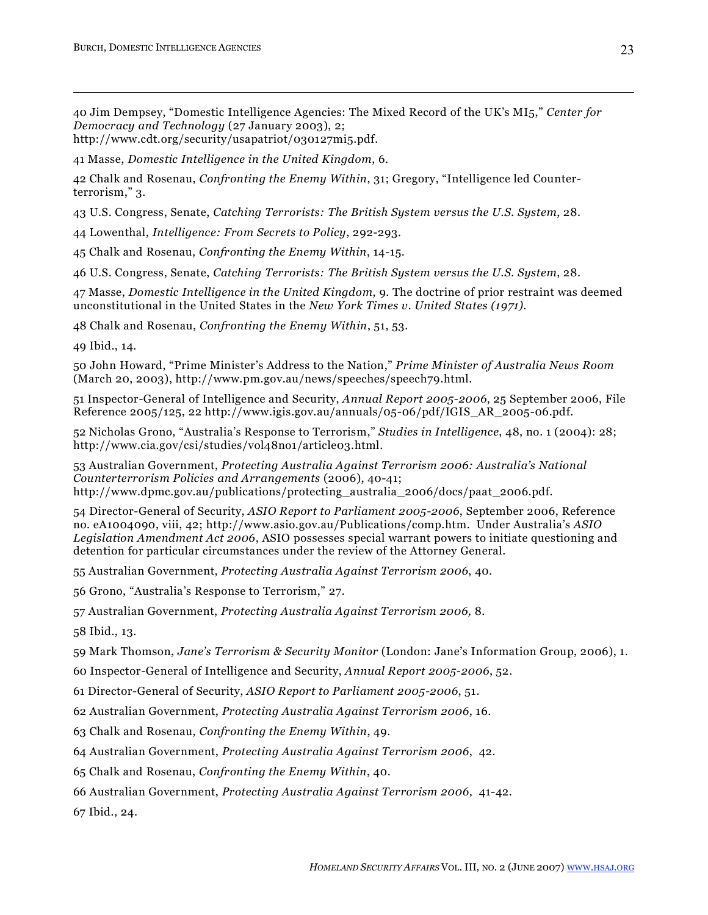Jim Dempsey, "Domestic Intelligence Agencies: The Mixed Record of the UK's MI5," *Center for Democracy and Technology* (27 January 2003), 2; http://www.cdt.org/security/usapatriot/030127mi5.pdf.

Masse, *Domestic Intelligence in the United Kingdom*, 6.

 Chalk and Rosenau, *Confronting the Enemy Within*, 31; Gregory, "Intelligence led Counterterrorism," 3.

U.S. Congress, Senate, *Catching Terrorists: The British System versus the U.S. System*, 28.

Lowenthal, *Intelligence: From Secrets to Policy*, 292-293.

Chalk and Rosenau, *Confronting the Enemy Within*, 14-15.

U.S. Congress, Senate, *Catching Terrorists: The British System versus the U.S. System*, 28.

 Masse, *Domestic Intelligence in the United Kingdom*, 9. The doctrine of prior restraint was deemed unconstitutional in the United States in the *New York Times v. United States (1971)*.

Chalk and Rosenau, *Confronting the Enemy Within*, 51, 53.

Ibid., 14.

 $\overline{a}$ 

 John Howard, "Prime Minister's Address to the Nation," *Prime Minister of Australia News Room* (March 20, 2003), http://www.pm.gov.au/news/speeches/speech79.html.

 Inspector-General of Intelligence and Security, *Annual Report 2005-2006*, 25 September 2006, File Reference 2005/125, 22 http://www.igis.gov.au/annuals/05-06/pdf/IGIS\_AR\_2005-06.pdf.

 Nicholas Grono, "Australia's Response to Terrorism," *Studies in Intelligence*, 48, no. 1 (2004): 28; http://www.cia.gov/csi/studies/vol48no1/article03.html.

 Australian Government, *Protecting Australia Against Terrorism 2006: Australia's National Counterterrorism Policies and Arrangements* (2006), 40-41; http://www.dpmc.gov.au/publications/protecting\_australia\_2006/docs/paat\_2006.pdf.

 Director-General of Security, *ASIO Report to Parliament 2005-2006*, September 2006, Reference no. eA1004090, viii, 42; http://www.asio.gov.au/Publications/comp.htm. Under Australia's *ASIO Legislation Amendment Act 2006*, ASIO possesses special warrant powers to initiate questioning and detention for particular circumstances under the review of the Attorney General.

Australian Government, *Protecting Australia Against Terrorism 2006*, 40.

Grono, "Australia's Response to Terrorism," 27.

Australian Government, *Protecting Australia Against Terrorism 2006,* 8.

Ibid., 13.

Mark Thomson, *Jane's Terrorism & Security Monitor* (London: Jane's Information Group, 2006), 1.

Inspector-General of Intelligence and Security, *Annual Report 2005-2006*, 52.

Director-General of Security, *ASIO Report to Parliament 2005-2006*, 51.

Australian Government, *Protecting Australia Against Terrorism 2006*, 16.

Chalk and Rosenau, *Confronting the Enemy Within*, 49.

Australian Government, *Protecting Australia Against Terrorism 2006*, 42.

Chalk and Rosenau, *Confronting the Enemy Within*, 40.

Australian Government, *Protecting Australia Against Terrorism 2006*, 41-42.

Ibid., 24.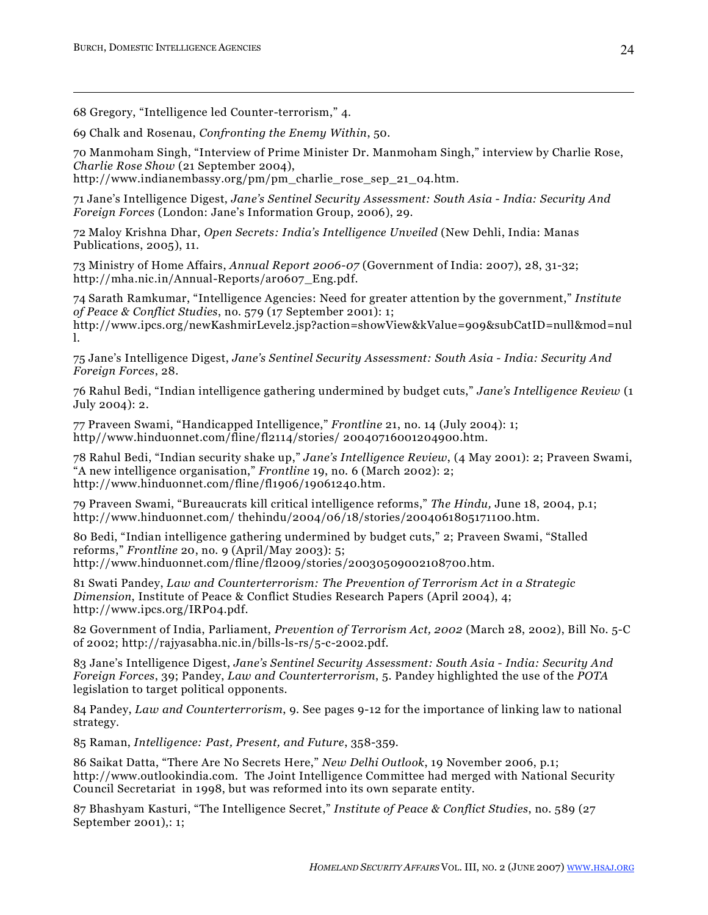$\overline{a}$ 

68 Gregory, "Intelligence led Counter-terrorism," 4.

69 Chalk and Rosenau, *Confronting the Enemy Within*, 50.

70 Manmoham Singh, "Interview of Prime Minister Dr. Manmoham Singh," interview by Charlie Rose, *Charlie Rose Show* (21 September 2004),

http://www.indianembassy.org/pm/pm\_charlie\_rose\_sep\_21\_04.htm.

71 Jane's Intelligence Digest, *Jane's Sentinel Security Assessment: South Asia - India: Security And Foreign Forces* (London: Jane's Information Group, 2006), 29.

72 Maloy Krishna Dhar, *Open Secrets: India's Intelligence Unveiled* (New Dehli, India: Manas Publications, 2005), 11.

73 Ministry of Home Affairs, *Annual Report 2006-07* (Government of India: 2007), 28, 31-32; http://mha.nic.in/Annual-Reports/ar0607\_Eng.pdf.

74 Sarath Ramkumar, "Intelligence Agencies: Need for greater attention by the government," *Institute of Peace & Conflict Studies*, no. 579 (17 September 2001): 1;

http://www.ipcs.org/newKashmirLevel2.jsp?action=showView&kValue=909&subCatID=null&mod=nul l.

75 Jane's Intelligence Digest, *Jane's Sentinel Security Assessment: South Asia - India: Security And Foreign Forces*, 28.

76 Rahul Bedi, "Indian intelligence gathering undermined by budget cuts," *Jane's Intelligence Review* (1 July 2004): 2.

77 Praveen Swami, "Handicapped Intelligence," *Frontline* 21, no. 14 (July 2004): 1; http//www.hinduonnet.com/fline/fl2114/stories/ 20040716001204900.htm.

78 Rahul Bedi, "Indian security shake up," *Jane's Intelligence Review*, (4 May 2001): 2; Praveen Swami, "A new intelligence organisation," *Frontline* 19, no. 6 (March 2002): 2; http://www.hinduonnet.com/fline/fl1906/19061240.htm.

79 Praveen Swami, "Bureaucrats kill critical intelligence reforms," *The Hindu,* June 18, 2004, p.1; http://www.hinduonnet.com/ thehindu/2004/06/18/stories/2004061805171100.htm.

80 Bedi, "Indian intelligence gathering undermined by budget cuts," 2; Praveen Swami, "Stalled reforms," *Frontline* 20, no. 9 (April/May 2003): 5; http://www.hinduonnet.com/fline/fl2009/stories/20030509002108700.htm.

81 Swati Pandey, *Law and Counterterrorism: The Prevention of Terrorism Act in a Strategic Dimension*, Institute of Peace & Conflict Studies Research Papers (April 2004), 4; http://www.ipcs.org/IRP04.pdf.

82 Government of India, Parliament, *Prevention of Terrorism Act, 2002* (March 28, 2002), Bill No. 5-C of 2002; http://rajyasabha.nic.in/bills-ls-rs/5-c-2002.pdf.

83 Jane's Intelligence Digest, *Jane's Sentinel Security Assessment: South Asia - India: Security And Foreign Forces*, 39; Pandey, *Law and Counterterrorism*, 5. Pandey highlighted the use of the *POTA* legislation to target political opponents.

84 Pandey, *Law and Counterterrorism*, 9. See pages 9-12 for the importance of linking law to national strategy.

85 Raman, *Intelligence: Past, Present, and Future*, 358-359.

86 Saikat Datta, "There Are No Secrets Here," *New Delhi Outlook*, 19 November 2006, p.1; http://www.outlookindia.com. The Joint Intelligence Committee had merged with National Security Council Secretariat in 1998, but was reformed into its own separate entity.

87 Bhashyam Kasturi, "The Intelligence Secret," *Institute of Peace & Conflict Studies*, no. 589 (27 September 2001),: 1;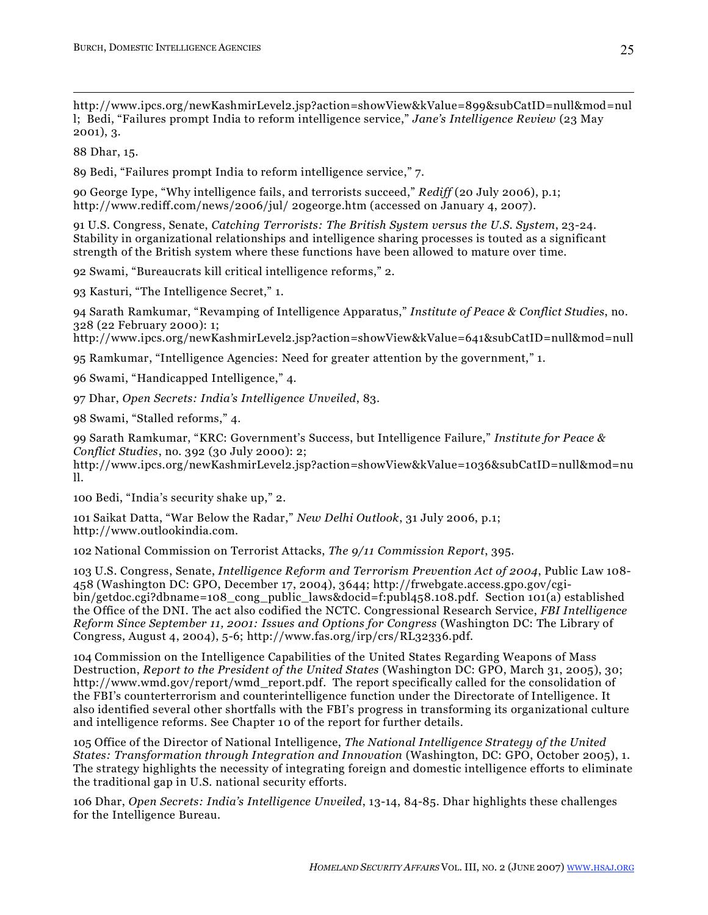http://www.ipcs.org/newKashmirLevel2.jsp?action=showView&kValue=899&subCatID=null&mod=nul l; Bedi, "Failures prompt India to reform intelligence service," *Jane's Intelligence Review* (23 May 2001), 3.

88 Dhar, 15.

 $\overline{a}$ 

89 Bedi, "Failures prompt India to reform intelligence service," 7.

90 George Iype, "Why intelligence fails, and terrorists succeed," *Rediff* (20 July 2006), p.1; http://www.rediff.com/news/2006/jul/ 20george.htm (accessed on January 4, 2007).

91 U.S. Congress, Senate, *Catching Terrorists: The British System versus the U.S. System*, 23-24. Stability in organizational relationships and intelligence sharing processes is touted as a significant strength of the British system where these functions have been allowed to mature over time.

92 Swami, "Bureaucrats kill critical intelligence reforms," 2.

93 Kasturi, "The Intelligence Secret," 1.

94 Sarath Ramkumar, "Revamping of Intelligence Apparatus," *Institute of Peace & Conflict Studies*, no. 328 (22 February 2000): 1;

http://www.ipcs.org/newKashmirLevel2.jsp?action=showView&kValue=641&subCatID=null&mod=null

95 Ramkumar, "Intelligence Agencies: Need for greater attention by the government," 1.

96 Swami, "Handicapped Intelligence," 4.

97 Dhar, *Open Secrets: India's Intelligence Unveiled*, 83.

98 Swami, "Stalled reforms," 4.

99 Sarath Ramkumar, "KRC: Government's Success, but Intelligence Failure," *Institute for Peace & Conflict Studies*, no. 392 (30 July 2000): 2;

http://www.ipcs.org/newKashmirLevel2.jsp?action=showView&kValue=1036&subCatID=null&mod=nu ll.

100 Bedi, "India's security shake up," 2.

101 Saikat Datta, "War Below the Radar," *New Delhi Outlook*, 31 July 2006, p.1; http://www.outlookindia.com.

102 National Commission on Terrorist Attacks, *The 9/11 Commission Report*, 395.

103 U.S. Congress, Senate, *Intelligence Reform and Terrorism Prevention Act of 2004*, Public Law 108- 458 (Washington DC: GPO, December 17, 2004), 3644; http://frwebgate.access.gpo.gov/cgibin/getdoc.cgi?dbname=108\_cong\_public\_laws&docid=f:publ458.108.pdf. Section 101(a) established the Office of the DNI. The act also codified the NCTC. Congressional Research Service, *FBI Intelligence Reform Since September 11, 2001: Issues and Options for Congress* (Washington DC: The Library of Congress, August 4, 2004), 5-6; http://www.fas.org/irp/crs/RL32336.pdf.

104 Commission on the Intelligence Capabilities of the United States Regarding Weapons of Mass Destruction, *Report to the President of the United States* (Washington DC: GPO, March 31, 2005), 30; http://www.wmd.gov/report/wmd\_report.pdf. The report specifically called for the consolidation of the FBI's counterterrorism and counterintelligence function under the Directorate of Intelligence. It also identified several other shortfalls with the FBI's progress in transforming its organizational culture and intelligence reforms. See Chapter 10 of the report for further details.

105 Office of the Director of National Intelligence, *The National Intelligence Strategy of the United States: Transformation through Integration and Innovation* (Washington, DC: GPO, October 2005), 1. The strategy highlights the necessity of integrating foreign and domestic intelligence efforts to eliminate the traditional gap in U.S. national security efforts.

106 Dhar, *Open Secrets: India's Intelligence Unveiled*, 13-14, 84-85. Dhar highlights these challenges for the Intelligence Bureau.